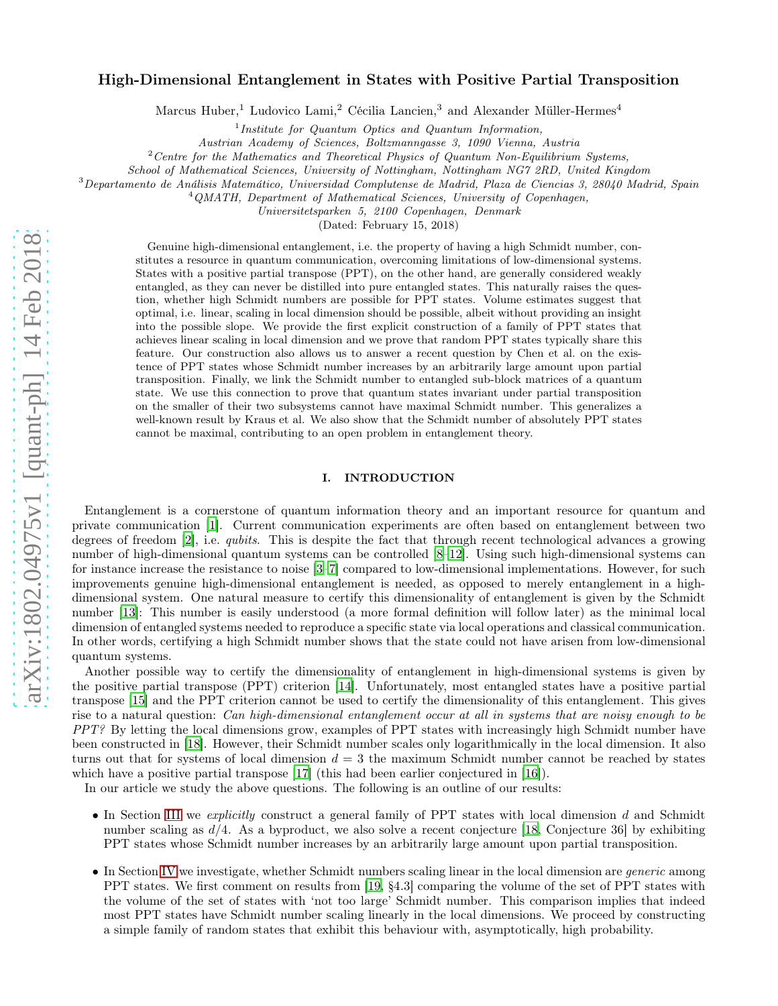# arXiv:1802.04975v1 [quant-ph] 14 Feb 2018 [arXiv:1802.04975v1 \[quant-ph\] 14 Feb 2018](http://arxiv.org/abs/1802.04975v1)

# High-Dimensional Entanglement in States with Positive Partial Transposition

Marcus Huber,<sup>1</sup> Ludovico Lami,<sup>2</sup> Cécilia Lancien,<sup>3</sup> and Alexander Müller-Hermes<sup>4</sup>

<sup>1</sup>Institute for Quantum Optics and Quantum Information,

Austrian Academy of Sciences, Boltzmanngasse 3, 1090 Vienna, Austria

 $2$  Centre for the Mathematics and Theoretical Physics of Quantum Non-Equilibrium Systems,

School of Mathematical Sciences, University of Nottingham, Nottingham NG7 2RD, United Kingdom

<sup>3</sup>Departamento de Análisis Matemático, Universidad Complutense de Madrid, Plaza de Ciencias 3, 28040 Madrid, Spain

<sup>4</sup> OMATH, Department of Mathematical Sciences, University of Copenhagen,

Universitetsparken 5, 2100 Copenhagen, Denmark

(Dated: February 15, 2018)

Genuine high-dimensional entanglement, i.e. the property of having a high Schmidt number, constitutes a resource in quantum communication, overcoming limitations of low-dimensional systems. States with a positive partial transpose (PPT), on the other hand, are generally considered weakly entangled, as they can never be distilled into pure entangled states. This naturally raises the question, whether high Schmidt numbers are possible for PPT states. Volume estimates suggest that optimal, i.e. linear, scaling in local dimension should be possible, albeit without providing an insight into the possible slope. We provide the first explicit construction of a family of PPT states that achieves linear scaling in local dimension and we prove that random PPT states typically share this feature. Our construction also allows us to answer a recent question by Chen et al. on the existence of PPT states whose Schmidt number increases by an arbitrarily large amount upon partial transposition. Finally, we link the Schmidt number to entangled sub-block matrices of a quantum state. We use this connection to prove that quantum states invariant under partial transposition on the smaller of their two subsystems cannot have maximal Schmidt number. This generalizes a well-known result by Kraus et al. We also show that the Schmidt number of absolutely PPT states cannot be maximal, contributing to an open problem in entanglement theory.

#### I. INTRODUCTION

Entanglement is a cornerstone of quantum information theory and an important resource for quantum and private communication [\[1\]](#page-14-0). Current communication experiments are often based on entanglement between two degrees of freedom [\[2\]](#page-14-1), i.e. *qubits*. This is despite the fact that through recent technological advances a growing number of high-dimensional quantum systems can be controlled [\[8](#page-14-2)[–12\]](#page-14-3). Using such high-dimensional systems can for instance increase the resistance to noise [\[3](#page-14-4)[–7](#page-14-5)] compared to low-dimensional implementations. However, for such improvements genuine high-dimensional entanglement is needed, as opposed to merely entanglement in a highdimensional system. One natural measure to certify this dimensionality of entanglement is given by the Schmidt number [\[13\]](#page-14-6): This number is easily understood (a more formal definition will follow later) as the minimal local dimension of entangled systems needed to reproduce a specific state via local operations and classical communication. In other words, certifying a high Schmidt number shows that the state could not have arisen from low-dimensional quantum systems.

Another possible way to certify the dimensionality of entanglement in high-dimensional systems is given by the positive partial transpose (PPT) criterion [\[14\]](#page-14-7). Unfortunately, most entangled states have a positive partial transpose [\[15\]](#page-14-8) and the PPT criterion cannot be used to certify the dimensionality of this entanglement. This gives rise to a natural question: Can high-dimensional entanglement occur at all in systems that are noisy enough to be PPT? By letting the local dimensions grow, examples of PPT states with increasingly high Schmidt number have been constructed in [\[18\]](#page-14-9). However, their Schmidt number scales only logarithmically in the local dimension. It also turns out that for systems of local dimension  $d = 3$  the maximum Schmidt number cannot be reached by states which have a positive partial transpose [\[17\]](#page-14-10) (this had been earlier conjectured in [\[16](#page-14-11)]).

In our article we study the above questions. The following is an outline of our results:

- In Section [III](#page-3-0) we *explicitly* construct a general family of PPT states with local dimension d and Schmidt number scaling as  $d/4$ . As a byproduct, we also solve a recent conjecture [\[18](#page-14-9), Conjecture 36] by exhibiting PPT states whose Schmidt number increases by an arbitrarily large amount upon partial transposition.
- In Section [IV](#page-8-0) we investigate, whether Schmidt numbers scaling linear in the local dimension are *generic* among PPT states. We first comment on results from [\[19,](#page-14-12) §4.3] comparing the volume of the set of PPT states with the volume of the set of states with 'not too large' Schmidt number. This comparison implies that indeed most PPT states have Schmidt number scaling linearly in the local dimensions. We proceed by constructing a simple family of random states that exhibit this behaviour with, asymptotically, high probability.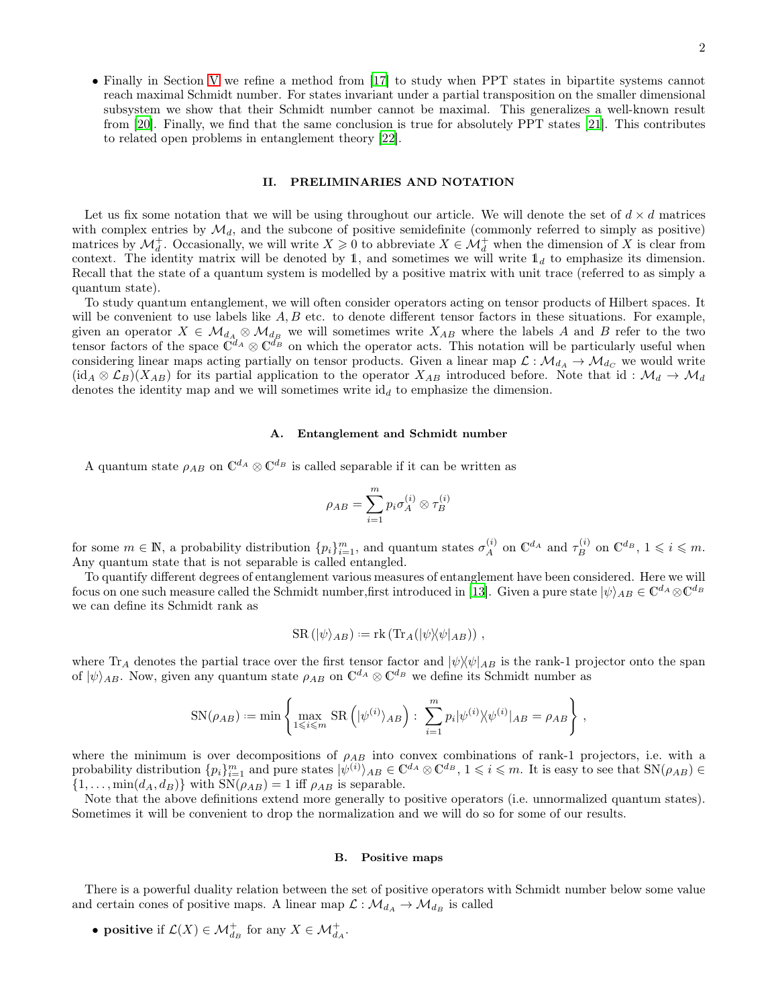• Finally in Section [V](#page-10-0) we refine a method from [\[17\]](#page-14-10) to study when PPT states in bipartite systems cannot reach maximal Schmidt number. For states invariant under a partial transposition on the smaller dimensional subsystem we show that their Schmidt number cannot be maximal. This generalizes a well-known result from [\[20](#page-14-13)]. Finally, we find that the same conclusion is true for absolutely PPT states [\[21](#page-14-14)]. This contributes to related open problems in entanglement theory [\[22\]](#page-14-15).

#### II. PRELIMINARIES AND NOTATION

Let us fix some notation that we will be using throughout our article. We will denote the set of  $d \times d$  matrices with complex entries by  $\mathcal{M}_d$ , and the subcone of positive semidefinite (commonly referred to simply as positive) matrices by  $\mathcal{M}_d^+$ . Occasionally, we will write  $X \geq 0$  to abbreviate  $X \in \mathcal{M}_d^+$  when the dimension of X is clear from context. The identity matrix will be denoted by 1, and sometimes we will write  $\mathbb{1}_d$  to emphasize its dimension. Recall that the state of a quantum system is modelled by a positive matrix with unit trace (referred to as simply a quantum state).

To study quantum entanglement, we will often consider operators acting on tensor products of Hilbert spaces. It will be convenient to use labels like  $A, B$  etc. to denote different tensor factors in these situations. For example, given an operator  $X \in \mathcal{M}_{d_A} \otimes \mathcal{M}_{d_B}$  we will sometimes write  $X_{AB}$  where the labels A and B refer to the two tensor factors of the space  $\mathbb{C}^{d_A} \otimes \mathbb{C}^{d_B}$  on which the operator acts. This notation will be particularly useful when considering linear maps acting partially on tensor products. Given a linear map  $\mathcal{L}: \mathcal{M}_{d_A} \to \mathcal{M}_{d_C}$  we would write  $(id_A \otimes \mathcal{L}_B)(X_{AB})$  for its partial application to the operator  $X_{AB}$  introduced before. Note that id:  $\mathcal{M}_d \to \mathcal{M}_d$ denotes the identity map and we will sometimes write  $id_d$  to emphasize the dimension.

# A. Entanglement and Schmidt number

A quantum state  $\rho_{AB}$  on  $\mathbb{C}^{d_A} \otimes \mathbb{C}^{d_B}$  is called separable if it can be written as

$$
\rho_{AB}=\sum_{i=1}^m p_i \sigma_A^{(i)} \otimes \tau_B^{(i)}
$$

for some  $m \in \mathbb{N}$ , a probability distribution  $\{p_i\}_{i=1}^m$ , and quantum states  $\sigma_A^{(i)}$ (i) on  $\mathbb{C}^{d_A}$  and  $\tau_B^{(i)}$  on  $\mathbb{C}^{d_B}$ ,  $1 \leqslant i \leqslant m$ . Any quantum state that is not separable is called entangled.

To quantify different degrees of entanglement various measures of entanglement have been considered. Here we will focus on one such measure called the Schmidt number,first introduced in [\[13\]](#page-14-6). Given a pure state  $|\psi\rangle_{AB} \in \mathbb{C}^{d_A} \otimes \mathbb{C}^{d_B}$ we can define its Schmidt rank as

$$
SR\left(\left|\psi\right\rangle_{AB}\right) := \text{rk}\left(\text{Tr}_A\left(\left|\psi\right\rangle\!\left\langle\psi\right|_{AB}\right)\right) ,
$$

where  $\text{Tr}_A$  denotes the partial trace over the first tensor factor and  $|\psi\rangle\langle\psi|_{AB}$  is the rank-1 projector onto the span of  $|\psi\rangle_{AB}$ . Now, given any quantum state  $\rho_{AB}$  on  $\mathbb{C}^{d_A} \otimes \mathbb{C}^{d_B}$  we define its Schmidt number as

$$
SN(\rho_{AB}) := \min \left\{ \max_{1 \leq i \leq m} SR\left( |\psi^{(i)}\rangle_{AB} \right) : \sum_{i=1}^{m} p_i |\psi^{(i)}\rangle \langle \psi^{(i)}|_{AB} = \rho_{AB} \right\},\,
$$

where the minimum is over decompositions of  $\rho_{AB}$  into convex combinations of rank-1 projectors, i.e. with a probability distribution  $\{p_i\}_{i=1}^m$  and pure states  $|\psi^{(i)}\rangle_{AB} \in \mathbb{C}^{d_A} \otimes \mathbb{C}^{d_B}$ ,  $1 \leq i \leq m$ . It is easy to see that  $\text{SN}(\rho_{AB}) \in$  $\{1,\ldots,\min(d_A,d_B)\}\$  with  $\text{SN}(\rho_{AB})=1$  iff  $\rho_{AB}$  is separable.

Note that the above definitions extend more generally to positive operators (i.e. unnormalized quantum states). Sometimes it will be convenient to drop the normalization and we will do so for some of our results.

#### B. Positive maps

There is a powerful duality relation between the set of positive operators with Schmidt number below some value and certain cones of positive maps. A linear map  $\mathcal{L} : \mathcal{M}_{d_A} \to \mathcal{M}_{d_B}$  is called

• positive if  $\mathcal{L}(X) \in \mathcal{M}_{d_B}^+$  for any  $X \in \mathcal{M}_{d_A}^+$ .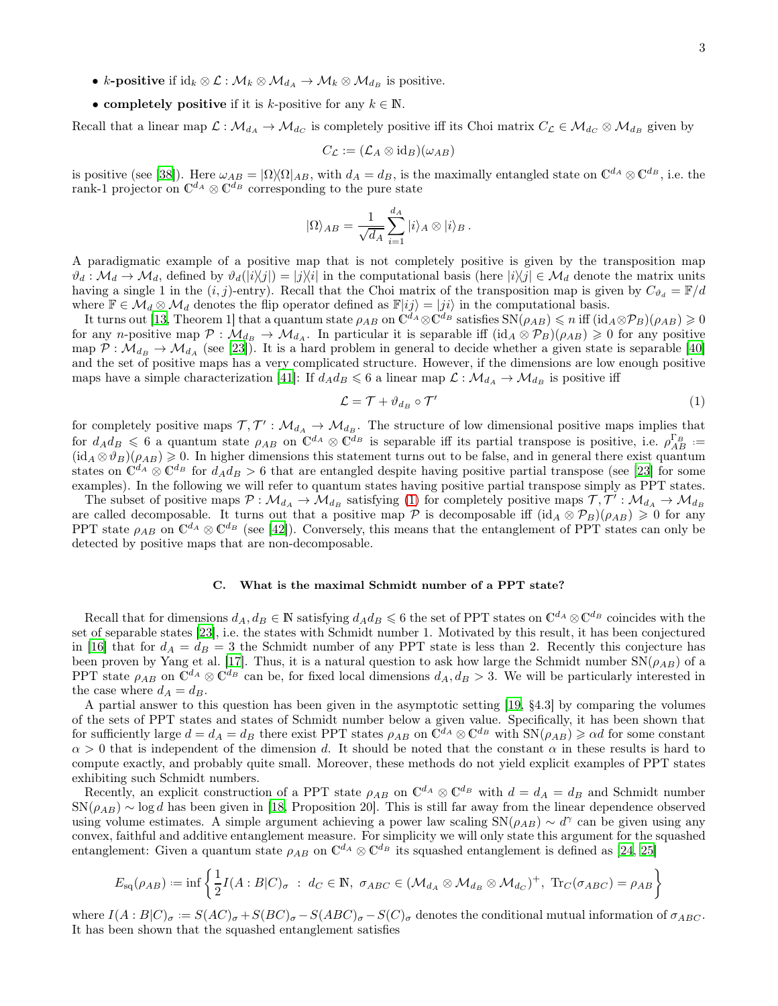- k-positive if  $\mathrm{id}_k \otimes \mathcal{L} : \mathcal{M}_k \otimes \mathcal{M}_{d_A} \to \mathcal{M}_k \otimes \mathcal{M}_{d_B}$  is positive.
- completely positive if it is k-positive for any  $k \in \mathbb{N}$ .

Recall that a linear map  $\mathcal{L}: \mathcal{M}_{d_A} \to \mathcal{M}_{d_C}$  is completely positive iff its Choi matrix  $C_{\mathcal{L}} \in \mathcal{M}_{d_C} \otimes \mathcal{M}_{d_B}$  given by

$$
C_{\mathcal{L}}:=(\mathcal{L}_A\otimes\mathrm{id}_B)(\omega_{AB})
$$

is positive (see [\[38\]](#page-15-0)). Here  $\omega_{AB} = |\Omega\rangle\langle\Omega|_{AB}$ , with  $d_A = d_B$ , is the maximally entangled state on  $\mathbb{C}^{d_A} \otimes \mathbb{C}^{d_B}$ , i.e. the rank-1 projector on  $\mathbb{C}^{d_A} \otimes \mathbb{C}^{d_B}$  corresponding to the pure state

$$
|\Omega\rangle_{AB} = \frac{1}{\sqrt{d_A}} \sum_{i=1}^{d_A} |i\rangle_A \otimes |i\rangle_B.
$$

A paradigmatic example of a positive map that is not completely positive is given by the transposition map  $\vartheta_d : \mathcal{M}_d \to \mathcal{M}_d$ , defined by  $\vartheta_d(|i\rangle\langle j|) = |j\rangle\langle i|$  in the computational basis (here  $|i\rangle\langle j| \in \mathcal{M}_d$  denote the matrix units having a single 1 in the  $(i, j)$ -entry). Recall that the Choi matrix of the transposition map is given by  $C_{\vartheta_i} = \mathbb{F}/d$ where  $\mathbb{F} \in \mathcal{M}_d \otimes \mathcal{M}_d$  denotes the flip operator defined as  $\mathbb{F}|ij\rangle = |ji\rangle$  in the computational basis.

It turns out [\[13](#page-14-6), Theorem 1] that a quantum state  $\rho_{AB}$  on  $\mathbb{C}^{\tilde{d}_A} \otimes \mathbb{C}^{\tilde{d}_B}$  satisfies  $\text{SN}(\rho_{AB}) \leq n$  iff  $(\text{id}_A \otimes \mathcal{P}_B)(\rho_{AB}) \geq 0$ for any n-positive map  $\mathcal{P} : \mathcal{M}_{d} \to \mathcal{M}_{d}$ . In particular it is separable iff  $(id_A \otimes \mathcal{P}_B)(\rho_{AB}) \geq 0$  for any positive map  $P : \mathcal{M}_{d_B} \to \mathcal{M}_{d_A}$  (see [\[23\]](#page-14-16)). It is a hard problem in general to decide whether a given state is separable [\[40\]](#page-15-1) and the set of positive maps has a very complicated structure. However, if the dimensions are low enough positive maps have a simple characterization [\[41\]](#page-15-2): If  $d_A d_B \leq 6$  a linear map  $\mathcal{L} : \mathcal{M}_{d_A} \to \mathcal{M}_{d_B}$  is positive iff

<span id="page-2-0"></span>
$$
\mathcal{L} = \mathcal{T} + \vartheta_{d_B} \circ \mathcal{T}' \tag{1}
$$

for completely positive maps  $\mathcal{T}, \mathcal{T}' : \mathcal{M}_{d_A} \to \mathcal{M}_{d_B}$ . The structure of low dimensional positive maps implies that for  $d_A d_B \leq 6$  a quantum state  $\rho_{AB}$  on  $\mathbb{C}^{d_A} \otimes \mathbb{C}^{d_B}$  is separable iff its partial transpose is positive, i.e.  $\rho_{AB}^{\Gamma_B} :=$  $(id_A \otimes \vartheta_B)(\rho_{AB}) \geq 0$ . In higher dimensions this statement turns out to be false, and in general there exist quantum states on  $\mathbb{C}^{d_A} \otimes \mathbb{C}^{d_B}$  for  $d_A d_B > 6$  that are entangled despite having positive partial transpose (see [\[23\]](#page-14-16) for some examples). In the following we will refer to quantum states having positive partial transpose simply as PPT states.

The subset of positive maps  $\mathcal{P}: \mathcal{M}_{d_A} \to \mathcal{M}_{d_B}$  satisfying [\(1\)](#page-2-0) for completely positive maps  $\mathcal{T}, \mathcal{T}' : \mathcal{M}_{d_A} \to \mathcal{M}_{d_B}$ are called decomposable. It turns out that a positive map  $\hat{\mathcal{P}}$  is decomposable iff  $(id_A \otimes \mathcal{P}_B)(\rho_{AB}) \geq 0$  for any PPT state  $\rho_{AB}$  on  $\mathbb{C}^{d_A} \otimes \mathbb{C}^{d_B}$  (see [\[42](#page-15-3)]). Conversely, this means that the entanglement of PPT states can only be detected by positive maps that are non-decomposable.

# C. What is the maximal Schmidt number of a PPT state?

Recall that for dimensions  $d_A, d_B \in \mathbb{N}$  satisfying  $d_A d_B \leq 6$  the set of PPT states on  $\mathbb{C}^{d_A} \otimes \mathbb{C}^{d_B}$  coincides with the set of separable states [\[23](#page-14-16)], i.e. the states with Schmidt number 1. Motivated by this result, it has been conjectured in [\[16\]](#page-14-11) that for  $d_A = d_B = 3$  the Schmidt number of any PPT state is less than 2. Recently this conjecture has been proven by Yang et al. [\[17\]](#page-14-10). Thus, it is a natural question to ask how large the Schmidt number  $SN(\rho_{AB})$  of a PPT state  $\rho_{AB}$  on  $\mathbb{C}^{d_A} \otimes \mathbb{C}^{d_B}$  can be, for fixed local dimensions  $d_A, d_B > 3$ . We will be particularly interested in the case where  $d_A = d_B$ .

A partial answer to this question has been given in the asymptotic setting [\[19,](#page-14-12) §4.3] by comparing the volumes of the sets of PPT states and states of Schmidt number below a given value. Specifically, it has been shown that for sufficiently large  $d = d_A = d_B$  there exist PPT states  $\rho_{AB}$  on  $\tilde{C}^{d_A} \otimes \tilde{C}^{d_B}$  with  $SN(\rho_{AB}) \geq \alpha d$  for some constant  $\alpha > 0$  that is independent of the dimension d. It should be noted that the constant  $\alpha$  in these results is hard to compute exactly, and probably quite small. Moreover, these methods do not yield explicit examples of PPT states exhibiting such Schmidt numbers.

Recently, an explicit construction of a PPT state  $\rho_{AB}$  on  $\mathbb{C}^{d_A} \otimes \mathbb{C}^{d_B}$  with  $d = d_A = d_B$  and Schmidt number  $\text{SN}(\rho_{AB}) \sim \log d$  has been given in [\[18,](#page-14-9) Proposition 20]. This is still far away from the linear dependence observed using volume estimates. A simple argument achieving a power law scaling  $\text{SN}(\rho_{AB}) \sim d^{\gamma}$  can be given using any convex, faithful and additive entanglement measure. For simplicity we will only state this argument for the squashed entanglement: Given a quantum state  $\rho_{AB}$  on  $\mathbb{C}^{d_A} \otimes \mathbb{C}^{d_B}$  its squashed entanglement is defined as [\[24,](#page-14-17) [25\]](#page-14-18)

$$
E_{\text{sq}}(\rho_{AB}) := \inf \left\{ \frac{1}{2} I(A : B | C)_{\sigma} : d_C \in \mathbb{N}, \ \sigma_{ABC} \in (\mathcal{M}_{d_A} \otimes \mathcal{M}_{d_B} \otimes \mathcal{M}_{d_C})^+, \ \text{Tr}_C(\sigma_{ABC}) = \rho_{AB} \right\}
$$

where  $I(A:B|C)_{\sigma} := S(AC)_{\sigma} + S(BC)_{\sigma} - S(ABC)_{\sigma} - S(C)_{\sigma}$  denotes the conditional mutual information of  $\sigma_{ABC}$ . It has been shown that the squashed entanglement satisfies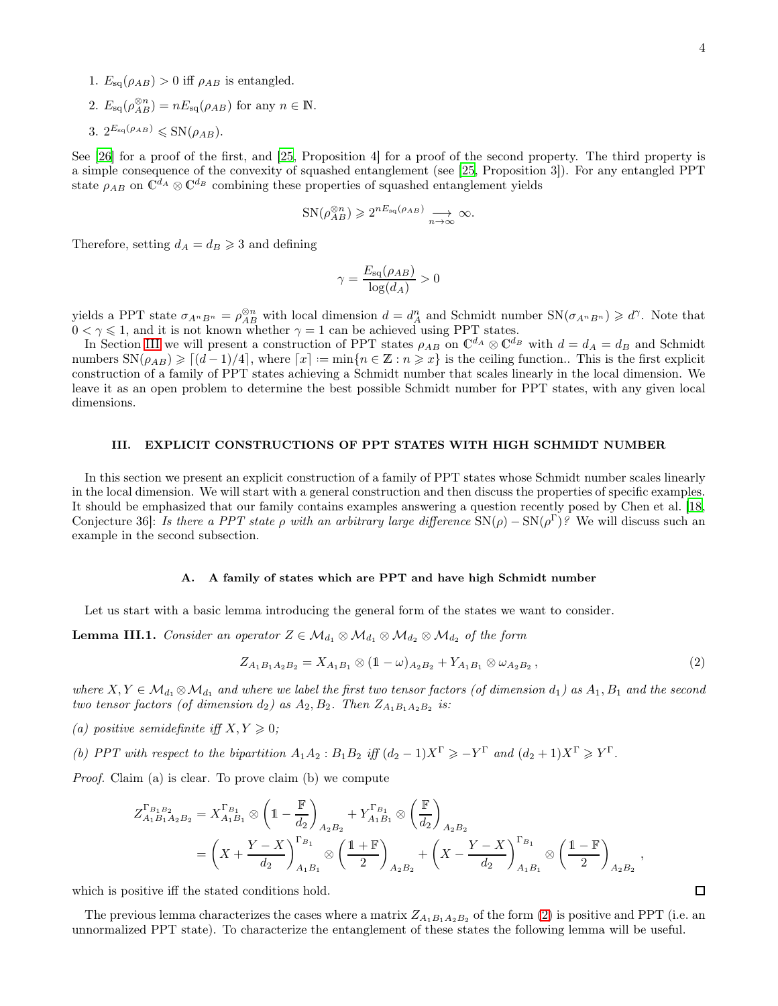- 1.  $E_{\text{sq}}(\rho_{AB}) > 0$  iff  $\rho_{AB}$  is entangled.
- 2.  $E_{\text{sq}}(\rho_{AB}^{\otimes n}) = nE_{\text{sq}}(\rho_{AB})$  for any  $n \in \mathbb{N}$ . 3.  $2^{E_{\text{sq}}(\rho_{AB})} \leqslant \text{SN}(\rho_{AB}).$

See [\[26\]](#page-15-4) for a proof of the first, and [\[25,](#page-14-18) Proposition 4] for a proof of the second property. The third property is a simple consequence of the convexity of squashed entanglement (see [\[25,](#page-14-18) Proposition 3]). For any entangled PPT state  $\rho_{AB}$  on  $\mathbb{C}^{d_A} \otimes \mathbb{C}^{d_B}$  combining these properties of squashed entanglement yields

$$
SN(\rho_{AB}^{\otimes n}) \geq 2^{nE_{\text{sq}}(\rho_{AB})} \xrightarrow[n \to \infty]{} \infty.
$$

Therefore, setting  $d_A = d_B \geq 3$  and defining

$$
\gamma = \frac{E_{\text{sq}}(\rho_{AB})}{\log(d_A)} > 0
$$

yields a PPT state  $\sigma_{A^nB^n} = \rho_{AB}^{\otimes n}$  with local dimension  $d = d_A^n$  and Schmidt number  $\text{SN}(\sigma_{A^nB^n}) \geq d^{\gamma}$ . Note that  $0 < \gamma \leq 1$ , and it is not known whether  $\gamma = 1$  can be achieved using PPT states.

In Section [III](#page-3-0) we will present a construction of PPT states  $\rho_{AB}$  on  $\mathbb{C}^{d_A} \otimes \mathbb{C}^{d_B}$  with  $d = d_A = d_B$  and Schmidt numbers  $SN(\rho_{AB}) \geqslant [(d-1)/4]$ , where  $[x] := min\{n \in \mathbb{Z} : n \geqslant x\}$  is the ceiling function.. This is the first explicit construction of a family of PPT states achieving a Schmidt number that scales linearly in the local dimension. We leave it as an open problem to determine the best possible Schmidt number for PPT states, with any given local dimensions.

# <span id="page-3-0"></span>III. EXPLICIT CONSTRUCTIONS OF PPT STATES WITH HIGH SCHMIDT NUMBER

In this section we present an explicit construction of a family of PPT states whose Schmidt number scales linearly in the local dimension. We will start with a general construction and then discuss the properties of specific examples. It should be emphasized that our family contains examples answering a question recently posed by Chen et al. [\[18,](#page-14-9) Conjecture 36]: Is there a PPT state  $\rho$  with an arbitrary large difference  $SN(\rho) - SN(\rho^{\Gamma})$ ? We will discuss such an example in the second subsection.

#### A. A family of states which are PPT and have high Schmidt number

Let us start with a basic lemma introducing the general form of the states we want to consider.

<span id="page-3-2"></span>**Lemma III.1.** Consider an operator  $Z \in \mathcal{M}_{d_1} \otimes \mathcal{M}_{d_1} \otimes \mathcal{M}_{d_2} \otimes \mathcal{M}_{d_2}$  of the form

<span id="page-3-1"></span>
$$
Z_{A_1B_1A_2B_2} = X_{A_1B_1} \otimes (1-\omega)_{A_2B_2} + Y_{A_1B_1} \otimes \omega_{A_2B_2}, \qquad (2)
$$

where  $X, Y \in \mathcal{M}_{d_1} \otimes \mathcal{M}_{d_1}$  and where we label the first two tensor factors (of dimension  $d_1$ ) as  $A_1, B_1$  and the second two tensor factors (of dimension  $d_2$ ) as  $A_2, B_2$ . Then  $Z_{A_1B_1A_2B_2}$  is:

- (a) positive semidefinite iff  $X, Y \geq 0$ ;
- (b) PPT with respect to the bipartition  $A_1A_2 : B_1B_2$  iff  $(d_2 1)X^{\Gamma} \geq -Y^{\Gamma}$  and  $(d_2 + 1)X^{\Gamma} \geq Y^{\Gamma}$ .

Proof. Claim (a) is clear. To prove claim (b) we compute

$$
Z_{A_1B_1A_2B_2}^{\Gamma_{B_1B_2}} = X_{A_1B_1}^{\Gamma_{B_1}} \otimes \left(1 - \frac{\mathbb{F}}{d_2}\right)_{A_2B_2} + Y_{A_1B_1}^{\Gamma_{B_1}} \otimes \left(\frac{\mathbb{F}}{d_2}\right)_{A_2B_2}
$$
  
=  $\left(X + \frac{Y - X}{d_2}\right)_{A_1B_1}^{\Gamma_{B_1}} \otimes \left(\frac{1 + \mathbb{F}}{2}\right)_{A_2B_2} + \left(X - \frac{Y - X}{d_2}\right)_{A_1B_1}^{\Gamma_{B_1}} \otimes \left(\frac{1 - \mathbb{F}}{2}\right)_{A_2B_2},$ 

which is positive iff the stated conditions hold.

The previous lemma characterizes the cases where a matrix  $Z_{A_1B_1A_2B_2}$  of the form [\(2\)](#page-3-1) is positive and PPT (i.e. an unnormalized PPT state). To characterize the entanglement of these states the following lemma will be useful.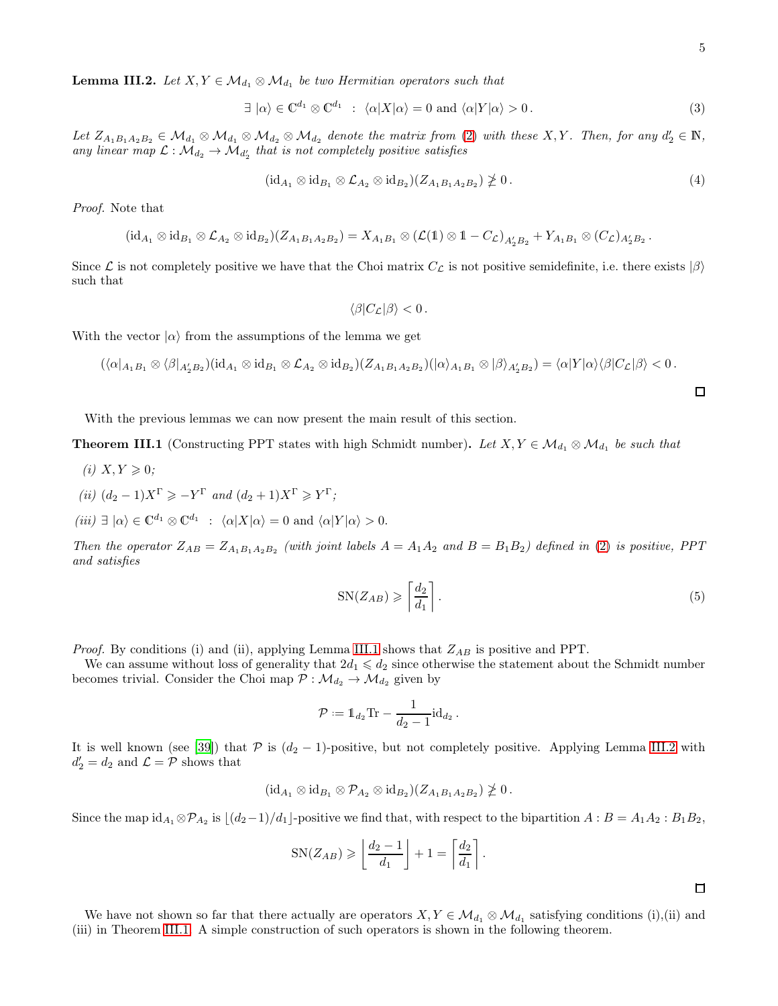<span id="page-4-0"></span>**Lemma III.2.** Let  $X, Y \in \mathcal{M}_{d_1} \otimes \mathcal{M}_{d_1}$  be two Hermitian operators such that

$$
\exists \vert \alpha \rangle \in \mathbb{C}^{d_1} \otimes \mathbb{C}^{d_1} \; : \; \langle \alpha | X | \alpha \rangle = 0 \text{ and } \langle \alpha | Y | \alpha \rangle > 0. \tag{3}
$$

Let  $Z_{A_1B_1A_2B_2} \in M_{d_1} \otimes M_{d_1} \otimes M_{d_2} \otimes M_{d_2}$  denote the matrix from [\(2\)](#page-3-1) with these X, Y. Then, for any  $d'_2 \in \mathbb{N}$ , any linear map  $\mathcal{L}: \mathcal{M}_{d_2} \to \mathcal{M}_{d'_2}$  that is not completely positive satisfies

$$
(\mathrm{id}_{A_1} \otimes \mathrm{id}_{B_1} \otimes \mathcal{L}_{A_2} \otimes \mathrm{id}_{B_2})(Z_{A_1B_1A_2B_2}) \ngeq 0. \tag{4}
$$

Proof. Note that

$$
(\mathrm{id}_{A_1}\otimes \mathrm{id}_{B_1}\otimes \mathcal{L}_{A_2}\otimes \mathrm{id}_{B_2})(Z_{A_1B_1A_2B_2})=X_{A_1B_1}\otimes (\mathcal{L}(\mathbb{1})\otimes \mathbb{1}-C_{\mathcal{L}})_{A_2'B_2}+Y_{A_1B_1}\otimes (C_{\mathcal{L}})_{A_2'B_2}
$$

Since L is not completely positive we have that the Choi matrix  $C_{\mathcal{L}}$  is not positive semidefinite, i.e. there exists  $|\beta\rangle$ such that

$$
\langle \beta | C_{\mathcal{L}} | \beta \rangle < 0 \, .
$$

With the vector  $|\alpha\rangle$  from the assumptions of the lemma we get

$$
(\langle \alpha |_{A_1B_1} \otimes \langle \beta |_{A_2'B_2})(\mathrm{id}_{A_1} \otimes \mathrm{id}_{B_1} \otimes \mathcal{L}_{A_2} \otimes \mathrm{id}_{B_2})(Z_{A_1B_1A_2B_2})(|\alpha \rangle_{A_1B_1} \otimes |\beta \rangle_{A_2'B_2}) = \langle \alpha | Y | \alpha \rangle \langle \beta | C_{\mathcal{L}} | \beta \rangle < 0.
$$

With the previous lemmas we can now present the main result of this section.

**Theorem III.1** (Constructing PPT states with high Schmidt number). Let  $X, Y \in \mathcal{M}_{d_1} \otimes \mathcal{M}_{d_1}$  be such that

- (i)  $X, Y \geqslant 0$ ;
- (ii)  $(d_2 1)X^{\Gamma} \geqslant -Y^{\Gamma}$  and  $(d_2 + 1)X^{\Gamma} \geqslant Y^{\Gamma}$ ;
- $(iii) \exists |\alpha\rangle \in \mathbb{C}^{d_1} \otimes \mathbb{C}^{d_1} : \langle \alpha | X | \alpha \rangle = 0 \text{ and } \langle \alpha | Y | \alpha \rangle > 0.$

Then the operator  $Z_{AB} = Z_{A_1B_1A_2B_2}$  (with joint labels  $A = A_1A_2$  and  $B = B_1B_2$ ) defined in [\(2\)](#page-3-1) is positive, PPT and satisfies

<span id="page-4-1"></span>
$$
SN(Z_{AB}) \geqslant \left\lceil \frac{d_2}{d_1} \right\rceil. \tag{5}
$$

.

*Proof.* By conditions (i) and (ii), applying Lemma [III.1](#page-3-2) shows that  $Z_{AB}$  is positive and PPT.

We can assume without loss of generality that  $2d_1 \leqslant d_2$  since otherwise the statement about the Schmidt number becomes trivial. Consider the Choi map  $P : \mathcal{M}_{d_2} \to \mathcal{M}_{d_2}$  given by

$$
\mathcal{P} := \mathbb{1}_{d_2} \text{Tr} - \frac{1}{d_2 - 1} \text{id}_{d_2}.
$$

It is well known (see [\[39\]](#page-15-5)) that  $P$  is  $(d_2 - 1)$ -positive, but not completely positive. Applying Lemma [III.2](#page-4-0) with  $d_2' = d_2$  and  $\mathcal{L} = \mathcal{P}$  shows that

$$
(\mathrm{id}_{A_1}\otimes \mathrm{id}_{B_1}\otimes \mathcal{P}_{A_2}\otimes \mathrm{id}_{B_2})(Z_{A_1B_1A_2B_2})\ngeq 0.
$$

Since the map  $id_{A_1} \otimes \mathcal{P}_{A_2}$  is  $\lfloor (d_2-1)/d_1 \rfloor$ -positive we find that, with respect to the bipartition  $A : B = A_1 A_2 : B_1 B_2$ ,

$$
SN(Z_{AB}) \geqslant \left\lfloor \frac{d_2 - 1}{d_1} \right\rfloor + 1 = \left\lceil \frac{d_2}{d_1} \right\rceil
$$

 $\Box$ 

We have not shown so far that there actually are operators  $X, Y \in \mathcal{M}_{d_1} \otimes \mathcal{M}_{d_1}$  satisfying conditions (i),(ii) and (iii) in Theorem [III.1.](#page-4-1) A simple construction of such operators is shown in the following theorem.

.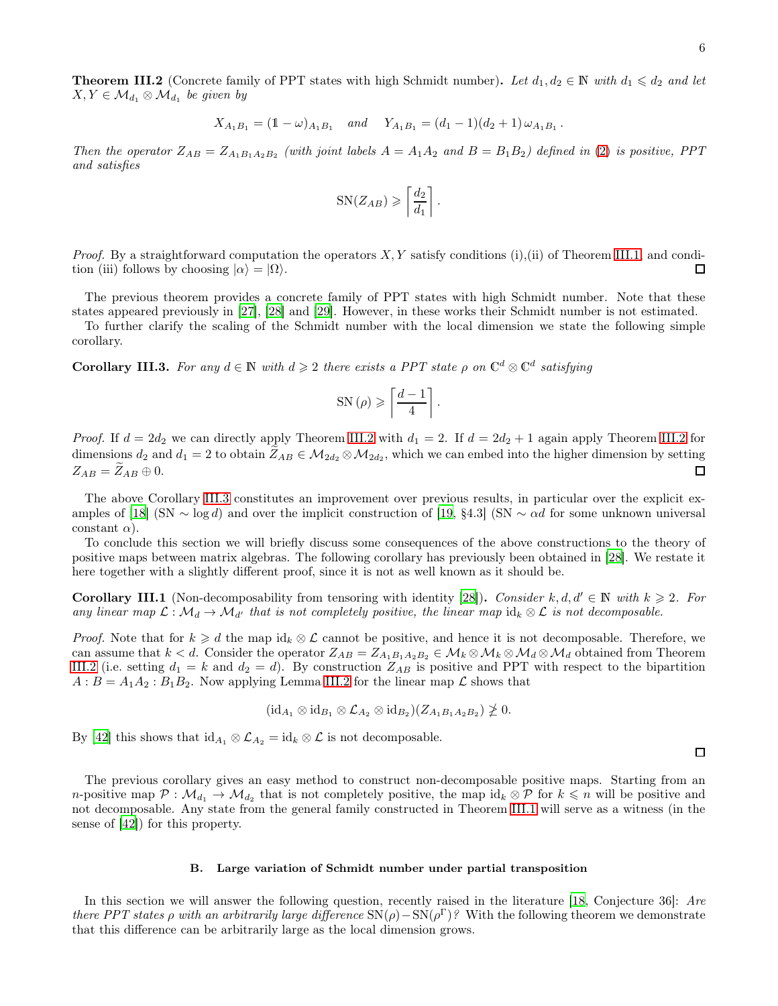<span id="page-5-0"></span>**Theorem III.2** (Concrete family of PPT states with high Schmidt number). Let  $d_1, d_2 \in \mathbb{N}$  with  $d_1 \leq d_2$  and let  $X, Y \in \mathcal{M}_{d_1} \otimes \mathcal{M}_{d_1}$  be given by

$$
X_{A_1B_1} = (1 - \omega)_{A_1B_1}
$$
 and  $Y_{A_1B_1} = (d_1 - 1)(d_2 + 1)\omega_{A_1B_1}$ .

Then the operator  $Z_{AB} = Z_{A_1B_1A_2B_2}$  (with joint labels  $A = A_1A_2$  and  $B = B_1B_2$ ) defined in [\(2\)](#page-3-1) is positive, PPT and satisfies

$$
SN(Z_{AB}) \geqslant \left\lceil \frac{d_2}{d_1} \right\rceil.
$$

*Proof.* By a straightforward computation the operators  $X, Y$  satisfy conditions (i),(ii) of Theorem [III.1,](#page-4-1) and condition (iii) follows by choosing  $|\alpha\rangle = |\Omega\rangle$ . П

The previous theorem provides a concrete family of PPT states with high Schmidt number. Note that these states appeared previously in [\[27\]](#page-15-6), [\[28\]](#page-15-7) and [\[29\]](#page-15-8). However, in these works their Schmidt number is not estimated.

To further clarify the scaling of the Schmidt number with the local dimension we state the following simple corollary.

<span id="page-5-1"></span>**Corollary III.3.** For any  $d \in \mathbb{N}$  with  $d \geq 2$  there exists a PPT state  $\rho$  on  $\mathbb{C}^d \otimes \mathbb{C}^d$  satisfying

$$
\mathrm{SN}\left(\rho\right) \geqslant \left\lceil \frac{d-1}{4}\right\rceil.
$$

*Proof.* If  $d = 2d_2$  we can directly apply Theorem [III.2](#page-5-0) with  $d_1 = 2$ . If  $d = 2d_2 + 1$  again apply Theorem III.2 for dimensions  $d_2$  and  $d_1 = 2$  to obtain  $Z_{AB} \in M_{2d_2} \otimes M_{2d_2}$ , which we can embed into the higher dimension by setting  $Z_{AB} = Z_{AB} \oplus 0.$  $\Box$ 

The above Corollary [III.3](#page-5-1) constitutes an improvement over previous results, in particular over the explicit ex-amples of [\[18\]](#page-14-9) (SN  $\sim$  log d) and over the implicit construction of [\[19,](#page-14-12) §4.3] (SN  $\sim \alpha d$  for some unknown universal constant  $\alpha$ ).

To conclude this section we will briefly discuss some consequences of the above constructions to the theory of positive maps between matrix algebras. The following corollary has previously been obtained in [\[28](#page-15-7)]. We restate it here together with a slightly different proof, since it is not as well known as it should be.

**Corollary III.1** (Non-decomposability from tensoring with identity [\[28](#page-15-7)]). Consider k, d,  $d' \in \mathbb{N}$  with  $k \geq 2$ . For any linear map  $\mathcal{L}: \mathcal{M}_d \to \mathcal{M}_{d'}$  that is not completely positive, the linear map  $id_k \otimes \mathcal{L}$  is not decomposable.

*Proof.* Note that for  $k \geq d$  the map  $id_k \otimes \mathcal{L}$  cannot be positive, and hence it is not decomposable. Therefore, we can assume that  $k < d$ . Consider the operator  $Z_{AB} = Z_{A_1B_1A_2B_2} \in M_k \otimes M_k \otimes M_d \otimes M_d$  obtained from Theorem [III.2](#page-5-0) (i.e. setting  $d_1 = k$  and  $d_2 = d$ ). By construction  $Z_{AB}$  is positive and PPT with respect to the bipartition  $A : B = A_1 A_2 : B_1 B_2$ . Now applying Lemma [III.2](#page-4-0) for the linear map  $\mathcal L$  shows that

$$
(\mathrm{id}_{A_1}\otimes \mathrm{id}_{B_1}\otimes \mathcal{L}_{A_2}\otimes \mathrm{id}_{B_2})(Z_{A_1B_1A_2B_2})\ngeq 0.
$$

By [\[42](#page-15-3)] this shows that  $\mathrm{id}_{A_1} \otimes \mathcal{L}_{A_2} = \mathrm{id}_k \otimes \mathcal{L}$  is not decomposable.

 $\Box$ 

The previous corollary gives an easy method to construct non-decomposable positive maps. Starting from an n-positive map  $\mathcal{P}: \mathcal{M}_{d_1} \to \mathcal{M}_{d_2}$  that is not completely positive, the map  $id_k \otimes \mathcal{P}$  for  $k \leq n$  will be positive and not decomposable. Any state from the general family constructed in Theorem [III.1](#page-4-1) will serve as a witness (in the sense of [\[42](#page-15-3)]) for this property.

#### B. Large variation of Schmidt number under partial transposition

In this section we will answer the following question, recently raised in the literature [\[18,](#page-14-9) Conjecture 36]: Are there PPT states  $\rho$  with an arbitrarily large difference  $SN(\rho) - SN(\rho^{\Gamma})$ ? With the following theorem we demonstrate that this difference can be arbitrarily large as the local dimension grows.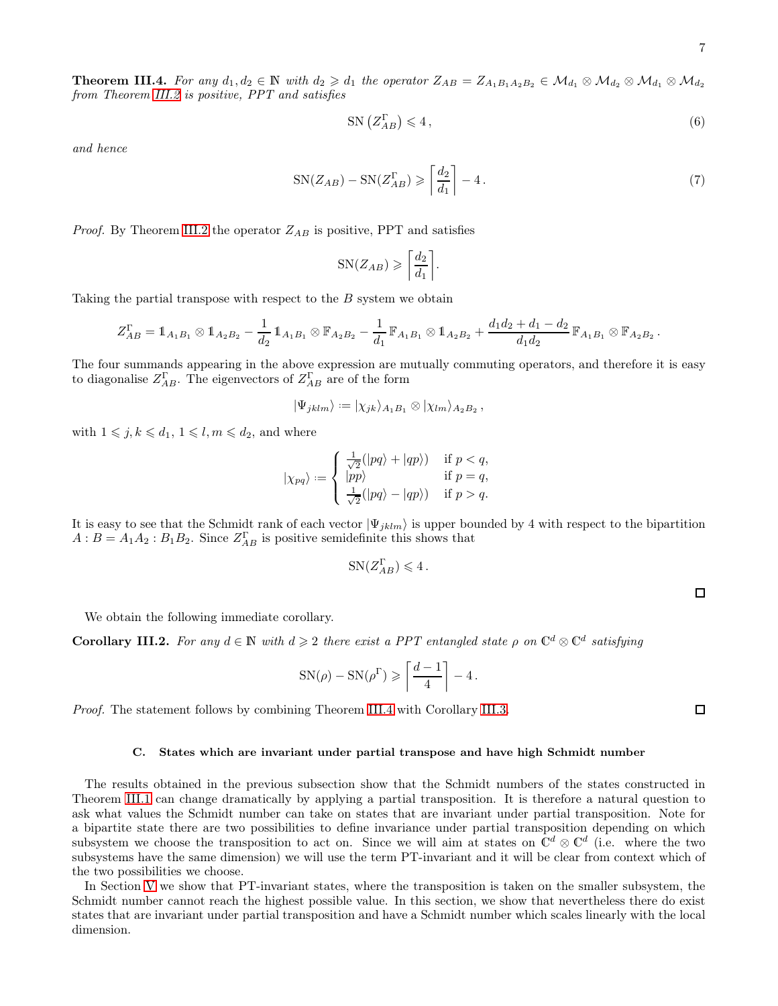**Theorem III.4.** For any  $d_1, d_2 \in \mathbb{N}$  with  $d_2 \geq d_1$  the operator  $Z_{AB} = Z_{A_1B_1A_2B_2} \in \mathcal{M}_{d_1} \otimes \mathcal{M}_{d_2} \otimes \mathcal{M}_{d_1} \otimes \mathcal{M}_{d_2}$ from Theorem [III.2](#page-5-0) is positive, PPT and satisfies

$$
SN\left(Z_{AB}^{\Gamma}\right) \leqslant 4\,,\tag{6}
$$

and hence

<span id="page-6-0"></span>
$$
SN(Z_{AB}) - SN(Z_{AB}^{\Gamma}) \geqslant \left\lceil \frac{d_2}{d_1} \right\rceil - 4. \tag{7}
$$

*Proof.* By Theorem [III.2](#page-5-0) the operator  $Z_{AB}$  is positive, PPT and satisfies

$$
SN(Z_{AB}) \geqslant \left\lceil \frac{d_2}{d_1} \right\rceil.
$$

Taking the partial transpose with respect to the  $B$  system we obtain

$$
Z_{AB}^{\Gamma} = \mathbb{1}_{A_1B_1} \otimes \mathbb{1}_{A_2B_2} - \frac{1}{d_2} \mathbb{1}_{A_1B_1} \otimes \mathbb{F}_{A_2B_2} - \frac{1}{d_1} \mathbb{F}_{A_1B_1} \otimes \mathbb{1}_{A_2B_2} + \frac{d_1d_2 + d_1 - d_2}{d_1d_2} \mathbb{F}_{A_1B_1} \otimes \mathbb{F}_{A_2B_2}.
$$

The four summands appearing in the above expression are mutually commuting operators, and therefore it is easy to diagonalise  $Z_{AB}^{\Gamma}$ . The eigenvectors of  $Z_{AB}^{\Gamma}$  are of the form

$$
|\Psi_{jklm}\rangle := |\chi_{jk}\rangle_{A_1B_1} \otimes |\chi_{lm}\rangle_{A_2B_2},
$$

with  $1 \leq j, k \leq d_1, 1 \leq l, m \leq d_2$ , and where

$$
|\chi_{pq}\rangle := \begin{cases} \frac{1}{\sqrt{2}}(|pq\rangle + |qp\rangle) & \text{if } p < q, \\ |pp\rangle & \text{if } p = q, \\ \frac{1}{\sqrt{2}}(|pq\rangle - |qp\rangle) & \text{if } p > q. \end{cases}
$$

It is easy to see that the Schmidt rank of each vector  $|\Psi_{jklm}\rangle$  is upper bounded by 4 with respect to the bipartition  $A: B = A_1 A_2 : B_1 B_2$ . Since  $Z_{AB}^{\Gamma}$  is positive semidefinite this shows that

$$
SN(Z_{AB}^{\Gamma}) \leq 4.
$$

 $\Box$ 

 $\Box$ 

We obtain the following immediate corollary.

**Corollary III.2.** For any  $d \in \mathbb{N}$  with  $d \geq 2$  there exist a PPT entangled state  $\rho$  on  $\mathbb{C}^d \otimes \mathbb{C}^d$  satisfying

$$
SN(\rho) - SN(\rho^{\Gamma}) \geqslant \left\lceil \frac{d-1}{4} \right\rceil - 4.
$$

Proof. The statement follows by combining Theorem [III.4](#page-6-0) with Corollary [III.3.](#page-5-1)

## C. States which are invariant under partial transpose and have high Schmidt number

The results obtained in the previous subsection show that the Schmidt numbers of the states constructed in Theorem [III.1](#page-4-1) can change dramatically by applying a partial transposition. It is therefore a natural question to ask what values the Schmidt number can take on states that are invariant under partial transposition. Note for a bipartite state there are two possibilities to define invariance under partial transposition depending on which subsystem we choose the transposition to act on. Since we will aim at states on  $\mathbb{C}^d \otimes \mathbb{C}^d$  (i.e. where the two subsystems have the same dimension) we will use the term PT-invariant and it will be clear from context which of the two possibilities we choose.

In Section [V](#page-10-0) we show that PT-invariant states, where the transposition is taken on the smaller subsystem, the Schmidt number cannot reach the highest possible value. In this section, we show that nevertheless there do exist states that are invariant under partial transposition and have a Schmidt number which scales linearly with the local dimension.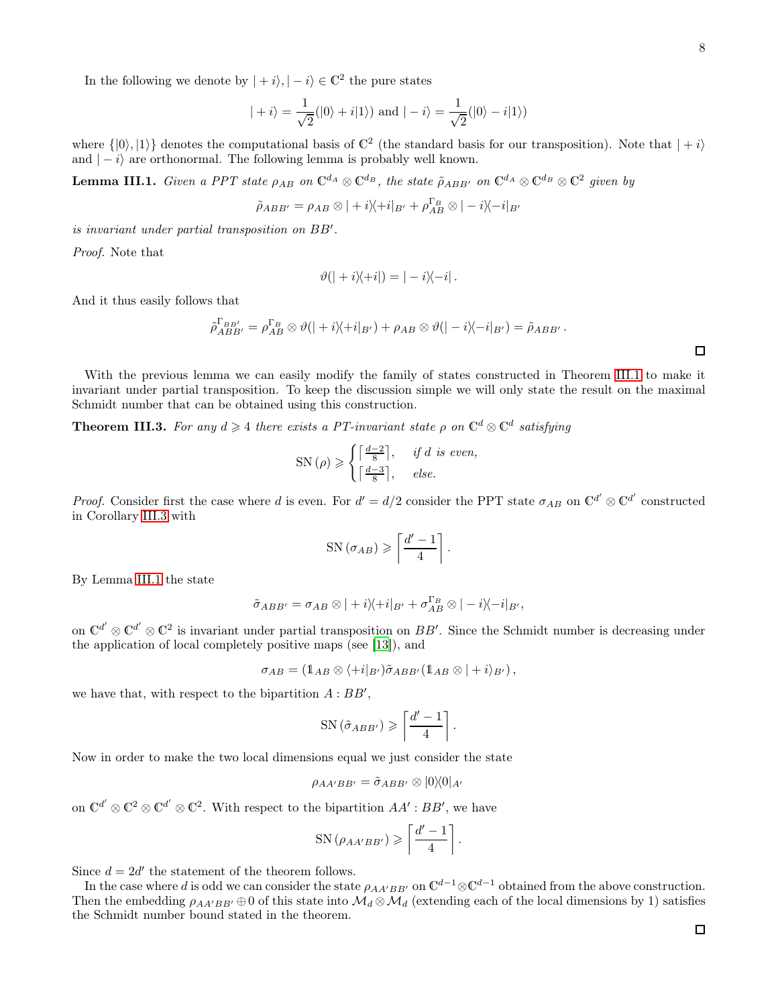$\Box$ 

In the following we denote by  $|+i\rangle, |-i\rangle \in \mathbb{C}^2$  the pure states

$$
|+i\rangle = \frac{1}{\sqrt{2}}(|0\rangle + i|1\rangle) \text{ and } |-i\rangle = \frac{1}{\sqrt{2}}(|0\rangle - i|1\rangle)
$$

where  $\{|0\rangle, |1\rangle\}$  denotes the computational basis of  $\mathbb{C}^2$  (the standard basis for our transposition). Note that  $|+i\rangle$ and  $|-i\rangle$  are orthonormal. The following lemma is probably well known.

<span id="page-7-0"></span>**Lemma III.1.** Given a PPT state  $\rho_{AB}$  on  $\mathbb{C}^{d_A} \otimes \mathbb{C}^{d_B}$ , the state  $\tilde{\rho}_{ABB'}$  on  $\mathbb{C}^{d_A} \otimes \mathbb{C}^{d_B} \otimes \mathbb{C}^2$  given by

$$
\tilde{\rho}_{ABB'} = \rho_{AB} \otimes |+i\rangle\langle+i|_{B'} + \rho_{AB}^{\Gamma_B} \otimes |-i\rangle\langle-i|_{B'}
$$

is invariant under partial transposition on BB′ .

Proof. Note that

$$
\vartheta(|+i\rangle\langle+i|) = |-i\rangle\langle-i|.
$$

And it thus easily follows that

$$
\tilde{\rho}_{ABB'}^{F_{BB'}} = \rho_{AB}^{F_B} \otimes \vartheta(|+i\rangle\langle+i|_{B'}) + \rho_{AB} \otimes \vartheta(|-i\rangle\langle-i|_{B'}) = \tilde{\rho}_{ABB'}.
$$

With the previous lemma we can easily modify the family of states constructed in Theorem [III.1](#page-4-1) to make it invariant under partial transposition. To keep the discussion simple we will only state the result on the maximal Schmidt number that can be obtained using this construction.

**Theorem III.3.** For any  $d \geq 4$  there exists a PT-invariant state  $\rho$  on  $\mathbb{C}^d \otimes \mathbb{C}^d$  satisfying

$$
SN(\rho) \geqslant \begin{cases} \lceil \frac{d-2}{8} \rceil, & \text{if } d \text{ is even,} \\ \lceil \frac{d-3}{8} \rceil, & \text{else.} \end{cases}
$$

*Proof.* Consider first the case where d is even. For  $d' = d/2$  consider the PPT state  $\sigma_{AB}$  on  $\mathbb{C}^{d'} \otimes \mathbb{C}^{d'}$  constructed in Corollary [III.3](#page-5-1) with

$$
SN\left(\sigma_{AB}\right) \geqslant \left\lceil \frac{d'-1}{4} \right\rceil.
$$

By Lemma [III.1](#page-7-0) the state

$$
\tilde{\sigma}_{ABB'} = \sigma_{AB} \otimes |+i\rangle\langle+i|_{B'} + \sigma_{AB}^{\Gamma_B} \otimes |-i\rangle\langle-i|_{B'},
$$

on  $\mathbb{C}^{d'} \otimes \mathbb{C}^{d'} \otimes \mathbb{C}^2$  is invariant under partial transposition on  $BB'$ . Since the Schmidt number is decreasing under the application of local completely positive maps (see [\[13\]](#page-14-6)), and

$$
\sigma_{AB}=(1\!\!1_{AB}\otimes\langle+i|_{B'})\tilde{\sigma}_{ABB'}(1\!\!1_{AB}\otimes|+i\rangle_{B'}),
$$

we have that, with respect to the bipartition  $A:BB',$ 

$$
SN\left(\tilde{\sigma}_{ABB'}\right) \geqslant \left\lceil \frac{d'-1}{4} \right\rceil.
$$

Now in order to make the two local dimensions equal we just consider the state

$$
\rho_{AA'BB'} = \tilde{\sigma}_{ABB'} \otimes |0\rangle\langle 0|_{A'}
$$

on  $\mathbb{C}^{d'} \otimes \mathbb{C}^2 \otimes \mathbb{C}^{d'} \otimes \mathbb{C}^2$ . With respect to the bipartition  $AA' : BB'$ , we have

$$
SN(\rho_{AA'BB'}) \geqslant \left\lceil \frac{d'-1}{4} \right\rceil.
$$

Since  $d = 2d'$  the statement of the theorem follows.

In the case where d is odd we can consider the state  $\rho_{AA'BB'}$  on  $\mathbb{C}^{d-1}\otimes \mathbb{C}^{d-1}$  obtained from the above construction. Then the embedding  $\rho_{AA'BB'} \oplus 0$  of this state into  $\mathcal{M}_d \otimes \mathcal{M}_d$  (extending each of the local dimensions by 1) satisfies the Schmidt number bound stated in the theorem.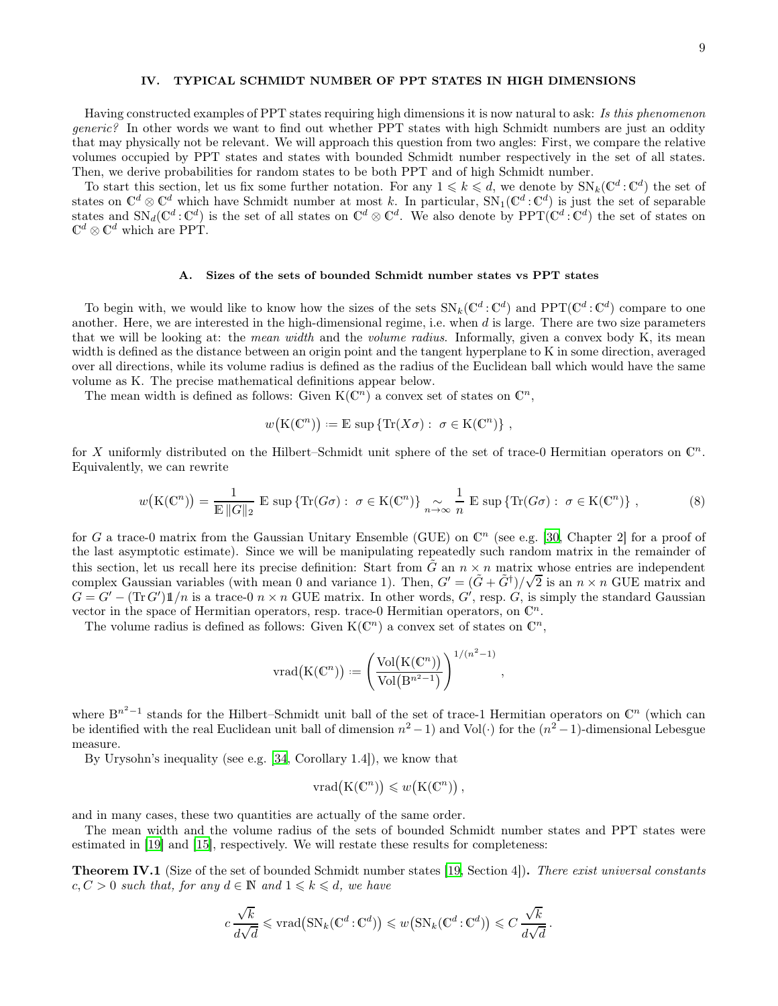# <span id="page-8-0"></span>IV. TYPICAL SCHMIDT NUMBER OF PPT STATES IN HIGH DIMENSIONS

Having constructed examples of PPT states requiring high dimensions it is now natural to ask: Is this phenomenon generic? In other words we want to find out whether PPT states with high Schmidt numbers are just an oddity that may physically not be relevant. We will approach this question from two angles: First, we compare the relative volumes occupied by PPT states and states with bounded Schmidt number respectively in the set of all states. Then, we derive probabilities for random states to be both PPT and of high Schmidt number.

To start this section, let us fix some further notation. For any  $1 \leq k \leq d$ , we denote by  $SN_k(\mathbb{C}^d:\mathbb{C}^d)$  the set of states on  $\mathbb{C}^d \otimes \mathbb{C}^d$  which have Schmidt number at most k. In particular,  $SN_1(\mathbb{C}^d : \mathbb{C}^d)$  is just the set of separable states and  $\text{SN}_d(\mathbb{C}^d : \mathbb{C}^d)$  is the set of all states on  $\mathbb{C}^d \otimes \mathbb{C}^d$ . We also denote by  $\text{PPT}(\mathbb{C}^d : \mathbb{C}^d)$  the set of states on  $\mathbb{C}^d \otimes \mathbb{C}^d$  which are PPT.

# A. Sizes of the sets of bounded Schmidt number states vs PPT states

To begin with, we would like to know how the sizes of the sets  $SN_k(\mathbb{C}^d:\mathbb{C}^d)$  and  $PPT(\mathbb{C}^d:\mathbb{C}^d)$  compare to one another. Here, we are interested in the high-dimensional regime, i.e. when  $d$  is large. There are two size parameters that we will be looking at: the *mean width* and the *volume radius*. Informally, given a convex body K, its mean width is defined as the distance between an origin point and the tangent hyperplane to K in some direction, averaged over all directions, while its volume radius is defined as the radius of the Euclidean ball which would have the same volume as K. The precise mathematical definitions appear below.

The mean width is defined as follows: Given  $K(\mathbb{C}^n)$  a convex set of states on  $\mathbb{C}^n$ ,

$$
w(K(\mathbb{C}^n)) := \mathbb{E} \sup \{ \text{Tr}(X\sigma) : \sigma \in K(\mathbb{C}^n) \},
$$

for X uniformly distributed on the Hilbert–Schmidt unit sphere of the set of trace-0 Hermitian operators on  $\mathbb{C}^n$ . Equivalently, we can rewrite

$$
w(K(\mathbb{C}^n)) = \frac{1}{\mathbb{E} \|G\|_2} \mathbb{E} \sup \{ \text{Tr}(G\sigma) : \ \sigma \in K(\mathbb{C}^n) \} \underset{n \to \infty}{\sim} \frac{1}{n} \mathbb{E} \sup \{ \text{Tr}(G\sigma) : \ \sigma \in K(\mathbb{C}^n) \} \ , \tag{8}
$$

for G a trace-0 matrix from the Gaussian Unitary Ensemble (GUE) on  $\mathbb{C}^n$  (see e.g. [\[30](#page-15-9), Chapter 2] for a proof of the last asymptotic estimate). Since we will be manipulating repeatedly such random matrix in the remainder of this section, let us recall here its precise definition: Start from  $\tilde{G}$  an  $n \times n$  matrix whose entries are independent complex Gaussian variables (with mean 0 and variance 1). Then,  $G' = (\tilde{G} + \tilde{G}^{\dagger})/\sqrt{2}$  is an  $n \times n$  GUE matrix and  $G = G' - (\text{Tr } G') \mathbb{1}/n$  is a trace-0  $n \times n$  GUE matrix. In other words, G', resp. G, is simply the standard Gaussian vector in the space of Hermitian operators, resp. trace-0 Hermitian operators, on  $\mathbb{C}^n$ .

The volume radius is defined as follows: Given  $K(\mathbb{C}^n)$  a convex set of states on  $\mathbb{C}^n$ ,

$$
\mathrm{vrad}\big(\mathrm{K}(\mathbb{C}^n)\big) := \left(\frac{\mathrm{Vol}\big(\mathrm{K}(\mathbb{C}^n)\big)}{\mathrm{Vol}\big(\mathrm{B}^{n^2-1}\big)}\right)^{1/(n^2-1)},
$$

where  $B^{n^2-1}$  stands for the Hilbert–Schmidt unit ball of the set of trace-1 Hermitian operators on  $\mathbb{C}^n$  (which can be identified with the real Euclidean unit ball of dimension  $n^2 - 1$ ) and Vol(·) for the  $(n^2 - 1)$ -dimensional Lebesgue measure.

By Urysohn's inequality (see e.g. [\[34](#page-15-10), Corollary 1.4]), we know that

$$
vrad(K(\mathbb{C}^n)) \leqslant w(K(\mathbb{C}^n)),
$$

and in many cases, these two quantities are actually of the same order.

The mean width and the volume radius of the sets of bounded Schmidt number states and PPT states were estimated in [\[19\]](#page-14-12) and [\[15\]](#page-14-8), respectively. We will restate these results for completeness:

<span id="page-8-1"></span>**Theorem IV.1** (Size of the set of bounded Schmidt number states [\[19,](#page-14-12) Section 4]). There exist universal constants  $c, C > 0$  such that, for any  $d \in \mathbb{N}$  and  $1 \leq k \leq d$ , we have

$$
c\frac{\sqrt{k}}{d\sqrt{d}}\leqslant \mathrm{vrad}\big(\mathrm{SN}_k({\mathbb{C}}^d:{\mathbb{C}}^d)\big)\leqslant w\big(\mathrm{SN}_k({\mathbb{C}}^d:{\mathbb{C}}^d)\big)\leqslant C\,\frac{\sqrt{k}}{d\sqrt{d}}\,.
$$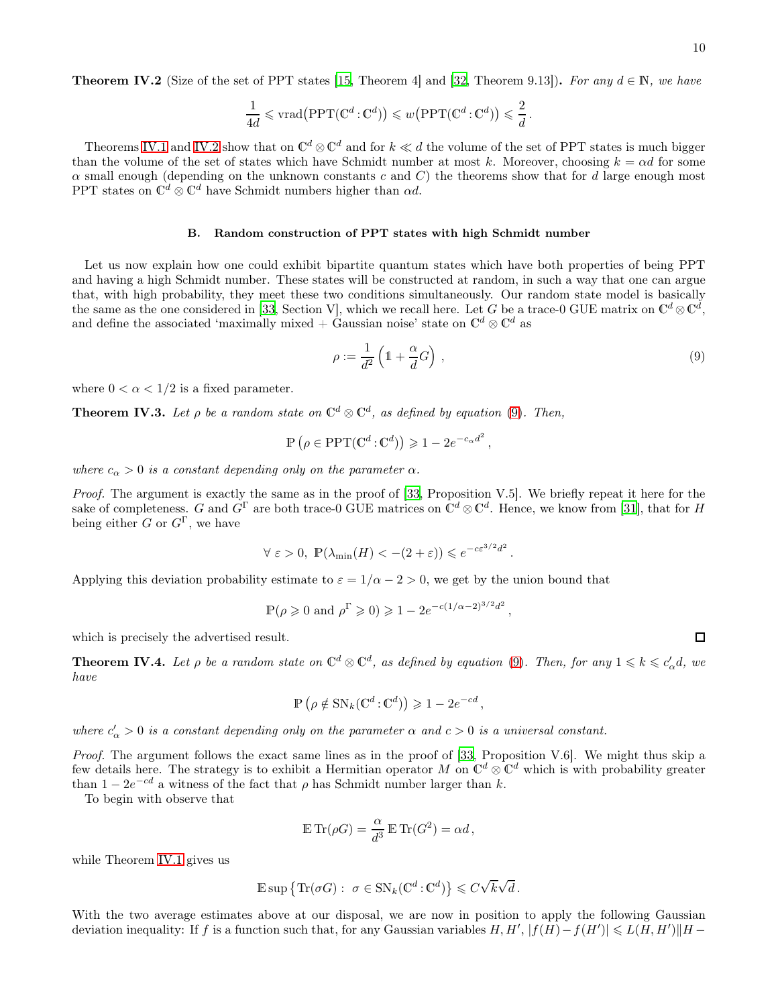<span id="page-9-0"></span>**Theorem IV.2** (Size of the set of PPT states [\[15,](#page-14-8) Theorem 4] and [\[32](#page-15-11), Theorem 9.13]). For any  $d \in \mathbb{N}$ , we have

$$
\frac{1}{4d} \leqslant \text{vrad}\big(\text{PPT}(\mathbb{C}^d : \mathbb{C}^d)\big) \leqslant w\big(\text{PPT}(\mathbb{C}^d : \mathbb{C}^d)\big) \leqslant \frac{2}{d}.
$$

Theorems [IV.1](#page-8-1) and [IV.2](#page-9-0) show that on  $\mathbb{C}^d \otimes \mathbb{C}^d$  and for  $k \ll d$  the volume of the set of PPT states is much bigger than the volume of the set of states which have Schmidt number at most k. Moreover, choosing  $k = \alpha d$  for some  $\alpha$  small enough (depending on the unknown constants c and C) the theorems show that for d large enough most PPT states on  $\mathbb{C}^d \otimes \mathbb{C}^d$  have Schmidt numbers higher than  $\alpha d$ .

#### B. Random construction of PPT states with high Schmidt number

Let us now explain how one could exhibit bipartite quantum states which have both properties of being PPT and having a high Schmidt number. These states will be constructed at random, in such a way that one can argue that, with high probability, they meet these two conditions simultaneously. Our random state model is basically the same as the one considered in [\[33,](#page-15-12) Section V], which we recall here. Let G be a trace-0 GUE matrix on  $\mathbb{C}^d \otimes \mathbb{C}^d$ , and define the associated 'maximally mixed + Gaussian noise' state on  $\mathbb{C}^d \otimes \mathbb{C}^d$  as

<span id="page-9-1"></span>
$$
\rho := \frac{1}{d^2} \left( 1 + \frac{\alpha}{d} G \right) ,\tag{9}
$$

where  $0 < \alpha < 1/2$  is a fixed parameter.

<span id="page-9-2"></span>**Theorem IV.3.** Let  $\rho$  be a random state on  $\mathbb{C}^d \otimes \mathbb{C}^d$ , as defined by equation [\(9\)](#page-9-1). Then,

 $\mathbb{P}\left(\rho \in \mathrm{PPT}(\mathbb{C}^d : \mathbb{C}^d)\right) \geq 1 - 2e^{-c_{\alpha}d^2},$ 

where  $c_{\alpha} > 0$  is a constant depending only on the parameter  $\alpha$ .

Proof. The argument is exactly the same as in the proof of [\[33](#page-15-12), Proposition V.5]. We briefly repeat it here for the sake of completeness. G and  $G^{\Gamma}$  are both trace-0 GUE matrices on  $\mathbb{C}^{d} \otimes \mathbb{C}^{d}$ . Hence, we know from [\[31](#page-15-13)], that for H being either G or  $G^{\Gamma}$ , we have

$$
\forall \varepsilon > 0, \ \mathbb{P}(\lambda_{\min}(H) < -(2+\varepsilon)) \leqslant e^{-c\varepsilon^{3/2}d^2}.
$$

Applying this deviation probability estimate to  $\varepsilon = 1/\alpha - 2 > 0$ , we get by the union bound that

$$
\mathbb{P}(\rho \ge 0 \text{ and } \rho^{\Gamma} \ge 0) \ge 1 - 2e^{-c(1/\alpha - 2)^{3/2}d^2},
$$

which is precisely the advertised result.

<span id="page-9-3"></span>**Theorem IV.4.** Let  $\rho$  be a random state on  $\mathbb{C}^d \otimes \mathbb{C}^d$ , as defined by equation [\(9\)](#page-9-1). Then, for any  $1 \leq k \leq c'_\alpha d$ , we have

$$
\mathbb{P}\left(\rho \notin \mathcal{SN}_k(\mathbb{C}^d : \mathbb{C}^d)\right) \geq 1 - 2e^{-cd},
$$

where  $c'_\alpha > 0$  is a constant depending only on the parameter  $\alpha$  and  $c > 0$  is a universal constant.

Proof. The argument follows the exact same lines as in the proof of [\[33,](#page-15-12) Proposition V.6]. We might thus skip a few details here. The strategy is to exhibit a Hermitian operator M on  $\mathbb{C}^d \otimes \mathbb{C}^d$  which is with probability greater than  $1 - 2e^{-cd}$  a witness of the fact that  $\rho$  has Schmidt number larger than k.

To begin with observe that

$$
\mathbb{E}\,\mathrm{Tr}(\rho G)=\frac{\alpha}{d^3}\,\mathbb{E}\,\mathrm{Tr}(G^2)=\alpha d\,,
$$

while Theorem [IV.1](#page-8-1) gives us

$$
\mathbb{E}\sup\big\{\text{Tr}(\sigma G):\ \sigma\in\text{SN}_k(\mathbb{C}^d\!:\!\mathbb{C}^d)\big\}\leqslant C\sqrt{k}\sqrt{d}\,.
$$

With the two average estimates above at our disposal, we are now in position to apply the following Gaussian deviation inequality: If f is a function such that, for any Gaussian variables  $H, H', |f(H) - f(H')| \le L(H, H')||H -$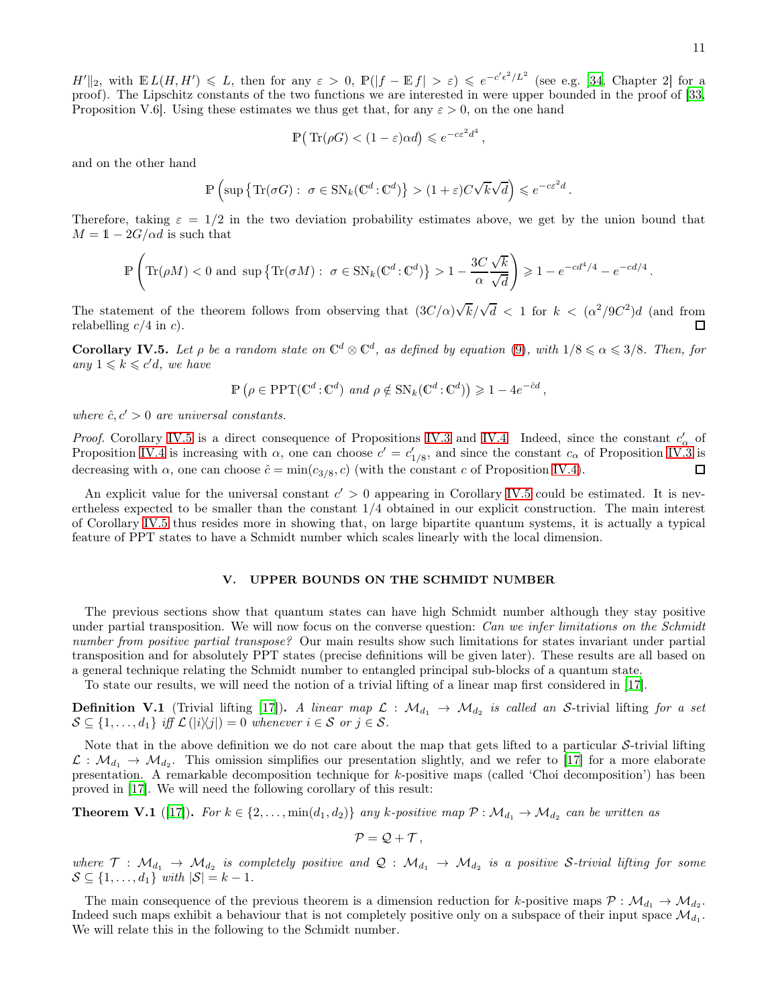$H'||_2$ , with  $\mathbb{E} L(H, H') \leq L$ , then for any  $\varepsilon > 0$ ,  $\mathbb{P}(|f - \mathbb{E} f| > \varepsilon) \leq e^{-c'\epsilon^2/L^2}$  (see e.g. [\[34](#page-15-10), Chapter 2] for a proof). The Lipschitz constants of the two functions we are interested in were upper bounded in the proof of [\[33,](#page-15-12) Proposition V.6. Using these estimates we thus get that, for any  $\varepsilon > 0$ , on the one hand

$$
\mathbb{P}(\text{Tr}(\rho G) < (1 - \varepsilon)\alpha d) \leqslant e^{-c\varepsilon^2 d^4},
$$

and on the other hand

$$
\mathbb{P}\left(\sup\left\{\text{Tr}(\sigma G):\ \sigma\in\text{SN}_k(\mathbb{C}^d\!:\!\mathbb{C}^d)\right\}>(1+\varepsilon)C\sqrt{k}\sqrt{d}\right)\leqslant e^{-c\varepsilon^2d}.
$$

Therefore, taking  $\varepsilon = 1/2$  in the two deviation probability estimates above, we get by the union bound that  $M = 1 - 2G/\alpha d$  is such that

$$
\mathbb{P}\left(\text{Tr}(\rho M) < 0 \text{ and } \sup\left\{\text{Tr}(\sigma M): \ \sigma \in \text{SN}_k(\mathbb{C}^d : \mathbb{C}^d)\right\} > 1 - \frac{3C\sqrt{k}}{\alpha}\right) \geqslant 1 - e^{-cd^4/4} - e^{-cd/4}.
$$

The statement of the theorem follows from observing that  $(3C/\alpha)\sqrt{k}/\sqrt{d} < 1$  for  $k < (\alpha^2/9C^2)d$  (and from relabelling  $c/4$  in c). 口

<span id="page-10-1"></span>**Corollary IV.5.** Let  $\rho$  be a random state on  $\mathbb{C}^d \otimes \mathbb{C}^d$ , as defined by equation [\(9\)](#page-9-1), with  $1/8 \le \alpha \le 3/8$ . Then, for any  $1 \leqslant k \leqslant c'd$ , we have

$$
\mathbb{P}\left(\rho \in \mathrm{PPT}(\mathbb{C}^d : \mathbb{C}^d) \text{ and } \rho \notin \mathrm{SN}_k(\mathbb{C}^d : \mathbb{C}^d)\right) \geq 1 - 4e^{-\hat{c}d},
$$

where  $\hat{c}, c' > 0$  are universal constants.

*Proof.* Corollary [IV.5](#page-10-1) is a direct consequence of Propositions [IV.3](#page-9-2) and [IV.4.](#page-9-3) Indeed, since the constant  $c'_{\alpha}$  of Proposition [IV.4](#page-9-3) is increasing with  $\alpha$ , one can choose  $c' = c'_{1/8}$ , and since the constant  $c_{\alpha}$  of Proposition [IV.3](#page-9-2) is decreasing with  $\alpha$ , one can choose  $\hat{c} = \min(c_{3/8}, c)$  (with the constant c of Proposition [IV.4\)](#page-9-3).  $\Box$ 

An explicit value for the universal constant  $c' > 0$  appearing in Corollary [IV.5](#page-10-1) could be estimated. It is nevertheless expected to be smaller than the constant 1/4 obtained in our explicit construction. The main interest of Corollary [IV.5](#page-10-1) thus resides more in showing that, on large bipartite quantum systems, it is actually a typical feature of PPT states to have a Schmidt number which scales linearly with the local dimension.

# <span id="page-10-0"></span>V. UPPER BOUNDS ON THE SCHMIDT NUMBER

The previous sections show that quantum states can have high Schmidt number although they stay positive under partial transposition. We will now focus on the converse question: Can we infer limitations on the Schmidt number from positive partial transpose? Our main results show such limitations for states invariant under partial transposition and for absolutely PPT states (precise definitions will be given later). These results are all based on a general technique relating the Schmidt number to entangled principal sub-blocks of a quantum state.

To state our results, we will need the notion of a trivial lifting of a linear map first considered in [\[17](#page-14-10)].

**Definition V.1** (Trivial lifting [\[17\]](#page-14-10)). A linear map  $\mathcal{L}: \mathcal{M}_{d_1} \to \mathcal{M}_{d_2}$  is called an S-trivial lifting for a set  $\mathcal{S} \subseteq \{1, \ldots, d_1\}$  iff  $\mathcal{L}(|i\rangle\langle j|) = 0$  whenever  $i \in \mathcal{S}$  or  $j \in \mathcal{S}$ .

Note that in the above definition we do not care about the map that gets lifted to a particular S-trivial lifting  $\mathcal{L}: \mathcal{M}_{d_1} \to \mathcal{M}_{d_2}$ . This omission simplifies our presentation slightly, and we refer to [\[17](#page-14-10)] for a more elaborate presentation. A remarkable decomposition technique for k-positive maps (called 'Choi decomposition') has been proved in [\[17\]](#page-14-10). We will need the following corollary of this result:

<span id="page-10-2"></span>**Theorem V.1** ([\[17](#page-14-10)]). For  $k \in \{2, ..., min(d_1, d_2)\}\$  any k-positive map  $\mathcal{P}: \mathcal{M}_{d_1} \to \mathcal{M}_{d_2}$  can be written as

 $\mathcal{P} = \mathcal{Q} + \mathcal{T}$ ,

where  $\mathcal{T}: \mathcal{M}_{d_1} \to \mathcal{M}_{d_2}$  is completely positive and  $\mathcal{Q}: \mathcal{M}_{d_1} \to \mathcal{M}_{d_2}$  is a positive S-trivial lifting for some  $\mathcal{S} \subseteq \{1, \ldots, d_1\}$  with  $|\mathcal{S}| = k - 1$ .

The main consequence of the previous theorem is a dimension reduction for k-positive maps  $P : \mathcal{M}_{d_1} \to \mathcal{M}_{d_2}$ . Indeed such maps exhibit a behaviour that is not completely positive only on a subspace of their input space  $\mathcal{M}_{d_1}$ . We will relate this in the following to the Schmidt number.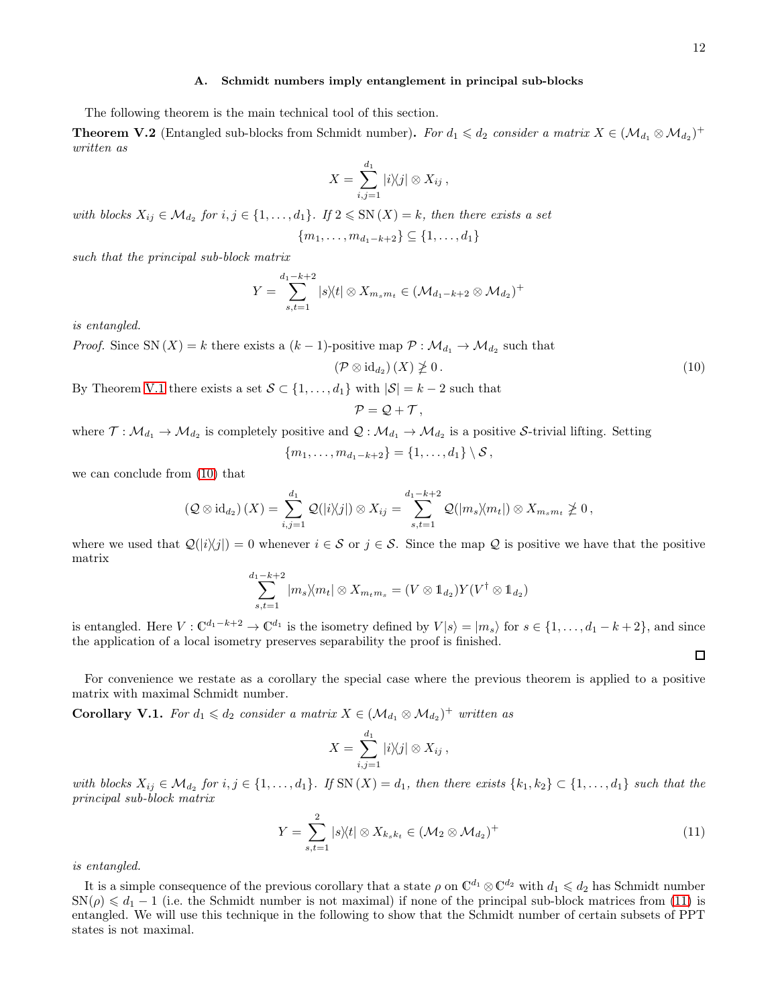#### A. Schmidt numbers imply entanglement in principal sub-blocks

The following theorem is the main technical tool of this section.

**Theorem V.2** (Entangled sub-blocks from Schmidt number). For  $d_1 \leq d_2$  consider a matrix  $X \in (\mathcal{M}_{d_1} \otimes \mathcal{M}_{d_2})^+$ written as

$$
X=\sum_{i,j=1}^{d_1}|i\rangle\langle j|\otimes X_{ij},
$$

with blocks  $X_{ij} \in \mathcal{M}_{d_2}$  for  $i, j \in \{1, ..., d_1\}$ . If  $2 \leqslant SN(X) = k$ , then there exists a set

$$
\{m_1, \ldots, m_{d_1-k+2}\} \subseteq \{1, \ldots, d_1\}
$$

such that the principal sub-block matrix

$$
Y = \sum_{s,t=1}^{d_1-k+2} |s\rangle\langle t| \otimes X_{m_s m_t} \in (\mathcal{M}_{d_1-k+2} \otimes \mathcal{M}_{d_2})^+
$$

is entangled.

*Proof.* Since SN  $(X) = k$  there exists a  $(k-1)$ -positive map  $P : \mathcal{M}_{d_1} \to \mathcal{M}_{d_2}$  such that

<span id="page-11-0"></span>
$$
(\mathcal{P}\otimes\mathrm{id}_{d_2})(X)\ngeq 0\,. \tag{10}
$$

By Theorem [V.1](#page-10-2) there exists a set  $S \subset \{1, \ldots, d_1\}$  with  $|S| = k - 2$  such that

$$
\mathcal{P}=\mathcal{Q}+\mathcal{T},
$$

where  $\mathcal{T}: \mathcal{M}_{d_1} \to \mathcal{M}_{d_2}$  is completely positive and  $\mathcal{Q}: \mathcal{M}_{d_1} \to \mathcal{M}_{d_2}$  is a positive S-trivial lifting. Setting

$$
\{m_1,\ldots,m_{d_1-k+2}\} = \{1,\ldots,d_1\} \setminus S\,,
$$

we can conclude from [\(10\)](#page-11-0) that

$$
\left(\mathcal{Q}\otimes\mathrm{id}_{d_2}\right)(X)=\sum_{i,j=1}^{d_1}\mathcal{Q}(|i\rangle\!\langle j|)\otimes X_{ij}=\sum_{s,t=1}^{d_1-k+2}\mathcal{Q}(|m_s\rangle\!\langle m_t|)\otimes X_{m_sm_t}\ngeq 0\,,
$$

where we used that  $\mathcal{Q}(|i\rangle\langle j|) = 0$  whenever  $i \in \mathcal{S}$  or  $j \in \mathcal{S}$ . Since the map  $\mathcal{Q}$  is positive we have that the positive matrix

$$
\sum_{s,t=1}^{d_1-k+2} |m_s\rangle\langle m_t| \otimes X_{m_t m_s} = (V \otimes \mathbb{1}_{d_2}) Y(V^{\dagger} \otimes \mathbb{1}_{d_2})
$$

is entangled. Here  $V: \mathbb{C}^{d_1-k+2} \to \mathbb{C}^{d_1}$  is the isometry defined by  $V|s\rangle = |m_s\rangle$  for  $s \in \{1, \ldots, d_1-k+2\}$ , and since the application of a local isometry preserves separability the proof is finished.

For convenience we restate as a corollary the special case where the previous theorem is applied to a positive matrix with maximal Schmidt number.

**Corollary V.1.** For  $d_1 \leq d_2$  consider a matrix  $X \in (\mathcal{M}_{d_1} \otimes \mathcal{M}_{d_2})^+$  written as

$$
X = \sum_{i,j=1}^{d_1} |i\rangle\!\langle j| \otimes X_{ij},
$$

with blocks  $X_{ij} \in \mathcal{M}_{d_2}$  for  $i, j \in \{1, ..., d_1\}$ . If  $SN(X) = d_1$ , then there exists  $\{k_1, k_2\} \subset \{1, ..., d_1\}$  such that the principal sub-block matrix

<span id="page-11-1"></span>
$$
Y = \sum_{s,t=1}^{2} |s\rangle\langle t| \otimes X_{k_s k_t} \in (\mathcal{M}_2 \otimes \mathcal{M}_{d_2})^+
$$
\n(11)

is entangled.

It is a simple consequence of the previous corollary that a state  $\rho$  on  $\mathbb{C}^{d_1} \otimes \mathbb{C}^{d_2}$  with  $d_1 \leq d_2$  has Schmidt number  $\text{SN}(\rho) \leq d_1 - 1$  (i.e. the Schmidt number is not maximal) if none of the principal sub-block matrices from [\(11\)](#page-11-1) is entangled. We will use this technique in the following to show that the Schmidt number of certain subsets of PPT states is not maximal.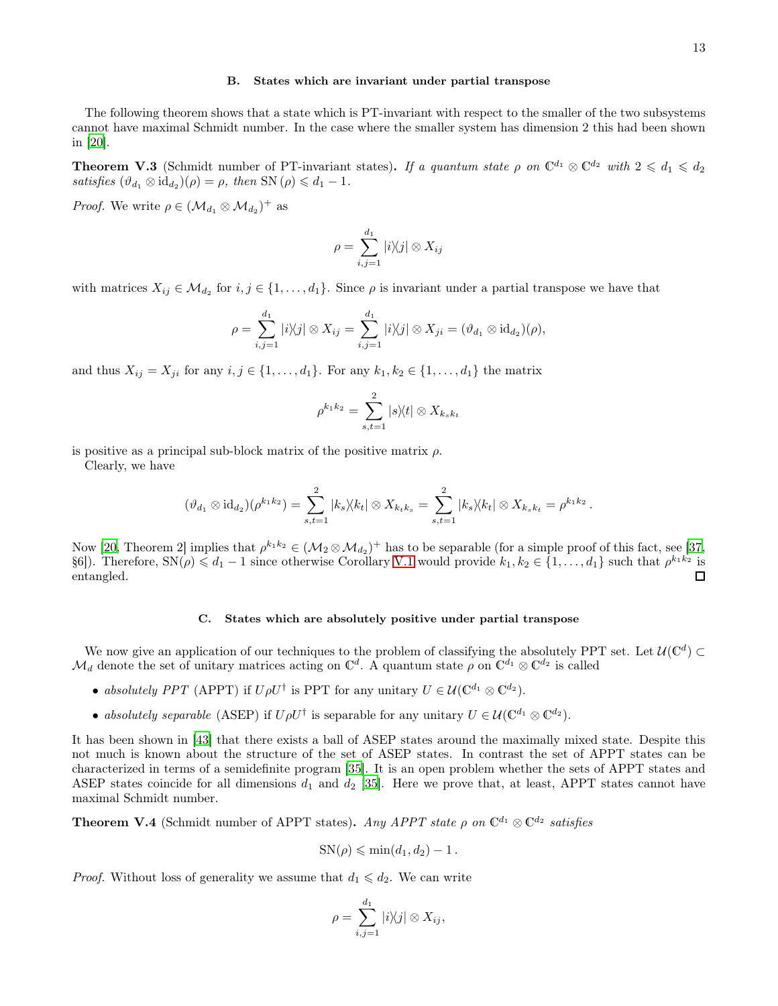#### B. States which are invariant under partial transpose

The following theorem shows that a state which is PT-invariant with respect to the smaller of the two subsystems cannot have maximal Schmidt number. In the case where the smaller system has dimension 2 this had been shown in [\[20](#page-14-13)].

**Theorem V.3** (Schmidt number of PT-invariant states). If a quantum state  $\rho$  on  $\mathbb{C}^{d_1} \otimes \mathbb{C}^{d_2}$  with  $2 \leq d_1 \leq d_2$ satisfies  $(\vartheta_{d_1} \otimes \mathrm{id}_{d_2})(\rho) = \rho$ , then SN  $(\rho) \leq d_1 - 1$ .

*Proof.* We write  $\rho \in (\mathcal{M}_{d_1} \otimes \mathcal{M}_{d_2})^+$  as

$$
\rho = \sum_{i,j=1}^{d_1} |i\rangle\langle j| \otimes X_{ij}
$$

with matrices  $X_{ij} \in M_{d_2}$  for  $i, j \in \{1, ..., d_1\}$ . Since  $\rho$  is invariant under a partial transpose we have that

$$
\rho = \sum_{i,j=1}^{d_1} |i\rangle\langle j| \otimes X_{ij} = \sum_{i,j=1}^{d_1} |i\rangle\langle j| \otimes X_{ji} = (\vartheta_{d_1} \otimes \mathrm{id}_{d_2})(\rho),
$$

and thus  $X_{ij} = X_{ji}$  for any  $i, j \in \{1, \ldots, d_1\}$ . For any  $k_1, k_2 \in \{1, \ldots, d_1\}$  the matrix

$$
\rho^{k_1 k_2} = \sum_{s,t=1}^2 |s\rangle\langle t| \otimes X_{k_s k_t}
$$

is positive as a principal sub-block matrix of the positive matrix  $\rho$ .

Clearly, we have

$$
(\vartheta_{d_1} \otimes \mathrm{id}_{d_2})(\rho^{k_1k_2}) = \sum_{s,t=1}^2 |k_s\rangle\langle k_t| \otimes X_{k_tk_s} = \sum_{s,t=1}^2 |k_s\rangle\langle k_t| \otimes X_{k_sk_t} = \rho^{k_1k_2}.
$$

Now [\[20,](#page-14-13) Theorem 2] implies that  $\rho^{k_1k_2} \in (\mathcal{M}_2 \otimes \mathcal{M}_{d_2})^+$  has to be separable (for a simple proof of this fact, see [\[37,](#page-15-14) §6]). Therefore,  $SN(\rho) \leq d_1 - 1$  since otherwise Corollary [V.1](#page-11-1) would provide  $k_1, k_2 \in \{1, ..., d_1\}$  such that  $\rho^{k_1 k_2}$  is entangled. П

#### C. States which are absolutely positive under partial transpose

We now give an application of our techniques to the problem of classifying the absolutely PPT set. Let  $U(\mathbb{C}^d) \subset$  $\mathcal{M}_d$  denote the set of unitary matrices acting on  $\mathbb{C}^d$ . A quantum state  $\rho$  on  $\mathbb{C}^{d_1} \otimes \mathbb{C}^{d_2}$  is called

- absolutely PPT (APPT) if  $U\rho U^{\dagger}$  is PPT for any unitary  $U \in \mathcal{U}(\mathbb{C}^{d_1} \otimes \mathbb{C}^{d_2})$ .
- absolutely separable (ASEP) if  $U \rho U^{\dagger}$  is separable for any unitary  $U \in \mathcal{U}(\mathbb{C}^{d_1} \otimes \mathbb{C}^{d_2})$ .

It has been shown in [\[43\]](#page-15-15) that there exists a ball of ASEP states around the maximally mixed state. Despite this not much is known about the structure of the set of ASEP states. In contrast the set of APPT states can be characterized in terms of a semidefinite program [\[35\]](#page-15-16). It is an open problem whether the sets of APPT states and ASEP states coincide for all dimensions  $d_1$  and  $d_2$  [\[35](#page-15-16)]. Here we prove that, at least, APPT states cannot have maximal Schmidt number.

**Theorem V.4** (Schmidt number of APPT states). Any APPT state  $\rho$  on  $\mathbb{C}^{d_1} \otimes \mathbb{C}^{d_2}$  satisfies

$$
SN(\rho) \leqslant \min(d_1, d_2) - 1.
$$

*Proof.* Without loss of generality we assume that  $d_1 \leq d_2$ . We can write

$$
\rho = \sum_{i,j=1}^{d_1} |i\rangle\!\langle j| \otimes X_{ij},
$$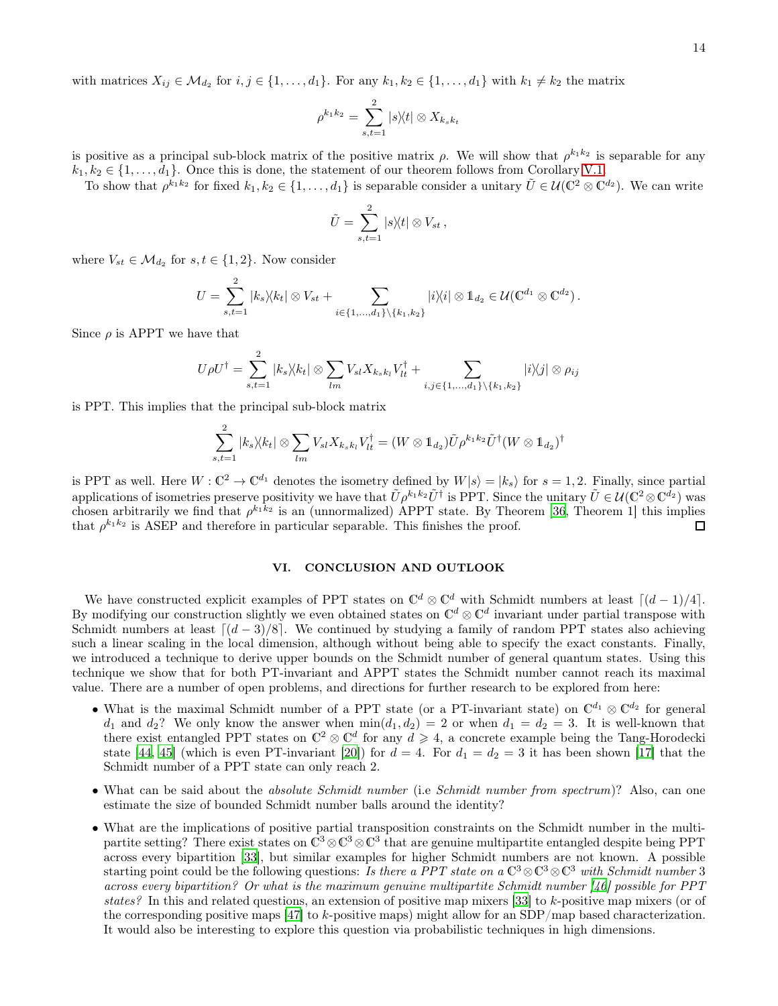with matrices  $X_{ij} \in \mathcal{M}_{d_2}$  for  $i, j \in \{1, ..., d_1\}$ . For any  $k_1, k_2 \in \{1, ..., d_1\}$  with  $k_1 \neq k_2$  the matrix

$$
\rho^{k_1 k_2} = \sum_{s,t=1}^2 |s\rangle\langle t| \otimes X_{k_s k_t}
$$

is positive as a principal sub-block matrix of the positive matrix  $\rho$ . We will show that  $\rho^{k_1k_2}$  is separable for any  $k_1, k_2 \in \{1, \ldots, d_1\}$ . Once this is done, the statement of our theorem follows from Corollary [V.1.](#page-11-1)

To show that  $\rho^{k_1 k_2}$  for fixed  $k_1, k_2 \in \{1, \ldots, d_1\}$  is separable consider a unitary  $\tilde{U} \in \mathcal{U}(\mathbb{C}^2 \otimes \mathbb{C}^{d_2})$ . We can write

$$
\tilde{U} = \sum_{s,t=1}^2 |s\rangle\langle t| \otimes V_{st},
$$

where  $V_{st} \in \mathcal{M}_{d_2}$  for  $s, t \in \{1, 2\}$ . Now consider

$$
U = \sum_{s,t=1}^{2} |k_s \rangle \langle k_t| \otimes V_{st} + \sum_{i \in \{1,...,d_1\} \setminus \{k_1,k_2\}} |i \rangle \langle i| \otimes 1_{d_2} \in \mathcal{U}(\mathbb{C}^{d_1} \otimes \mathbb{C}^{d_2}).
$$

Since  $\rho$  is APPT we have that

$$
U\rho U^{\dagger} = \sum_{s,t=1}^{2} |k_s\rangle\langle k_t| \otimes \sum_{lm} V_{sl} X_{k_s k_l} V_{lt}^{\dagger} + \sum_{i,j \in \{1,...,d_1\} \setminus \{k_1,k_2\}} |i\rangle\langle j| \otimes \rho_{ij}
$$

is PPT. This implies that the principal sub-block matrix

$$
\sum_{s,t=1}^2 |k_s \rangle \langle k_t| \otimes \sum_{lm} V_{sl} X_{k_s k_l} V_{lt}^{\dagger} = (W \otimes \mathbb{1}_{d_2}) \tilde{U} \rho^{k_1 k_2} \tilde{U}^{\dagger} (W \otimes \mathbb{1}_{d_2})^{\dagger}
$$

is PPT as well. Here  $W : \mathbb{C}^2 \to \mathbb{C}^{d_1}$  denotes the isometry defined by  $W|s\rangle = |k_s\rangle$  for  $s = 1, 2$ . Finally, since partial applications of isometries preserve positivity we have that  $\tilde{U} \rho^{k_1 k_2} \tilde{U}^{\dagger}$  is PPT. Since the unitary  $\tilde{U} \in \mathcal{U}(\mathbb{C}^2 \otimes \mathbb{C}^{d_2})$  was chosen arbitrarily we find that  $\rho^{k_1k_2}$  is an (unnormalized) APPT state. By Theorem [\[36](#page-15-17), Theorem 1] this implies that  $\rho^{k_1 k_2}$  is ASEP and therefore in particular separable. This finishes the proof.  $\Box$ 

# VI. CONCLUSION AND OUTLOOK

We have constructed explicit examples of PPT states on  $\mathbb{C}^d \otimes \mathbb{C}^d$  with Schmidt numbers at least  $\lceil (d-1)/4 \rceil$ . By modifying our construction slightly we even obtained states on  $\mathbb{C}^d \otimes \mathbb{C}^d$  invariant under partial transpose with Schmidt numbers at least  $\left[\frac{d-3}{8}\right]$ . We continued by studying a family of random PPT states also achieving such a linear scaling in the local dimension, although without being able to specify the exact constants. Finally, we introduced a technique to derive upper bounds on the Schmidt number of general quantum states. Using this technique we show that for both PT-invariant and APPT states the Schmidt number cannot reach its maximal value. There are a number of open problems, and directions for further research to be explored from here:

- What is the maximal Schmidt number of a PPT state (or a PT-invariant state) on  $\mathbb{C}^{d_1} \otimes \mathbb{C}^{d_2}$  for general  $d_1$  and  $d_2$ ? We only know the answer when  $\min(d_1, d_2) = 2$  or when  $d_1 = d_2 = 3$ . It is well-known that there exist entangled PPT states on  $\mathbb{C}^2 \otimes \mathbb{C}^d$  for any  $d \geq 4$ , a concrete example being the Tang-Horodecki state [\[44](#page-15-18), [45\]](#page-15-19) (which is even PT-invariant [\[20](#page-14-13)]) for  $d = 4$ . For  $d_1 = d_2 = 3$  it has been shown [\[17\]](#page-14-10) that the Schmidt number of a PPT state can only reach 2.
- What can be said about the *absolute Schmidt number* (i.e Schmidt number from spectrum)? Also, can one estimate the size of bounded Schmidt number balls around the identity?
- What are the implications of positive partial transposition constraints on the Schmidt number in the multipartite setting? There exist states on  $\mathbb{C}^3 \otimes \mathbb{C}^3 \otimes \mathbb{C}^3$  that are genuine multipartite entangled despite being PPT across every bipartition [\[33](#page-15-12)], but similar examples for higher Schmidt numbers are not known. A possible starting point could be the following questions: Is there a PPT state on a  $\mathbb{C}^3 \otimes \mathbb{C}^3 \otimes \mathbb{C}^3$  with Schmidt number 3 across every bipartition? Or what is the maximum genuine multipartite Schmidt number [\[46](#page-15-20)] possible for PPT states? In this and related questions, an extension of positive map mixers [\[33\]](#page-15-12) to k-positive map mixers (or of the corresponding positive maps [\[47](#page-15-21)] to k-positive maps) might allow for an  $SDP/map$  based characterization. It would also be interesting to explore this question via probabilistic techniques in high dimensions.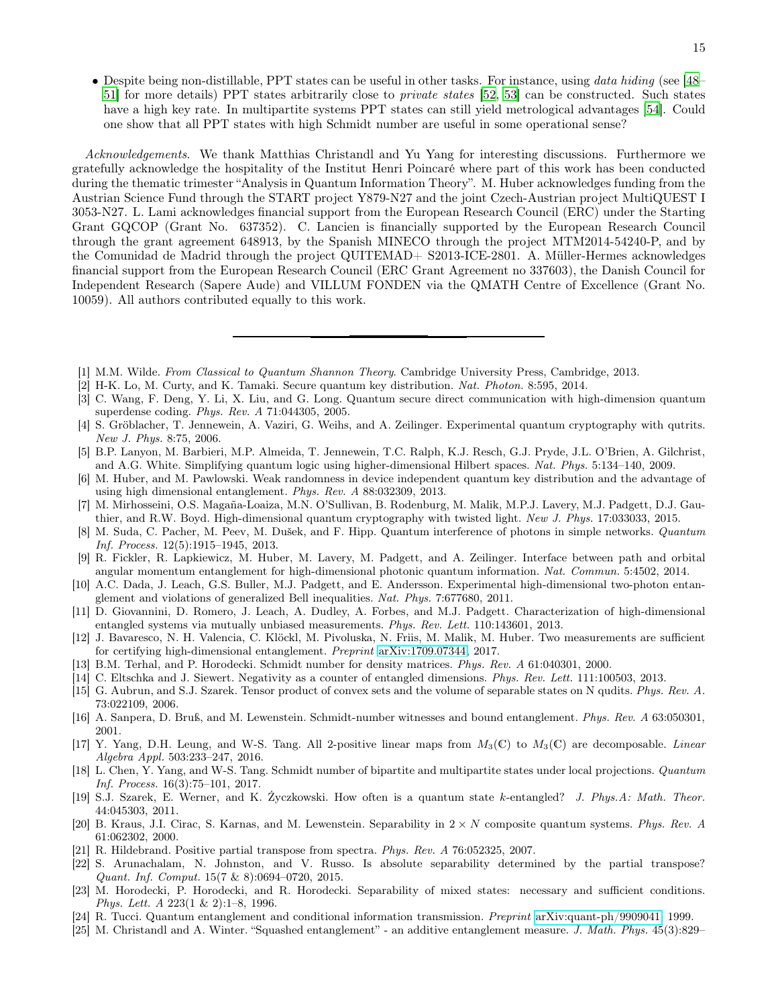• Despite being non-distillable, PPT states can be useful in other tasks. For instance, using data hiding (see [\[48](#page-15-22)– [51\]](#page-15-23) for more details) PPT states arbitrarily close to private states [\[52](#page-15-24), [53\]](#page-15-25) can be constructed. Such states have a high key rate. In multipartite systems PPT states can still yield metrological advantages [\[54](#page-15-26)]. Could one show that all PPT states with high Schmidt number are useful in some operational sense?

Acknowledgements. We thank Matthias Christandl and Yu Yang for interesting discussions. Furthermore we gratefully acknowledge the hospitality of the Institut Henri Poincaré where part of this work has been conducted during the thematic trimester "Analysis in Quantum Information Theory". M. Huber acknowledges funding from the Austrian Science Fund through the START project Y879-N27 and the joint Czech-Austrian project MultiQUEST I 3053-N27. L. Lami acknowledges financial support from the European Research Council (ERC) under the Starting Grant GQCOP (Grant No. 637352). C. Lancien is financially supported by the European Research Council through the grant agreement 648913, by the Spanish MINECO through the project MTM2014-54240-P, and by the Comunidad de Madrid through the project QUITEMAD+ S2013-ICE-2801. A. Müller-Hermes acknowledges financial support from the European Research Council (ERC Grant Agreement no 337603), the Danish Council for Independent Research (Sapere Aude) and VILLUM FONDEN via the QMATH Centre of Excellence (Grant No. 10059). All authors contributed equally to this work.

- <span id="page-14-0"></span>[1] M.M. Wilde. From Classical to Quantum Shannon Theory. Cambridge University Press, Cambridge, 2013.
- <span id="page-14-1"></span>[2] H-K. Lo, M. Curty, and K. Tamaki. Secure quantum key distribution. Nat. Photon. 8:595, 2014.
- <span id="page-14-4"></span>[3] C. Wang, F. Deng, Y. Li, X. Liu, and G. Long. Quantum secure direct communication with high-dimension quantum superdense coding. Phys. Rev. A 71:044305, 2005.
- [4] S. Gröblacher, T. Jennewein, A. Vaziri, G. Weihs, and A. Zeilinger. Experimental quantum cryptography with qutrits. New J. Phys. 8:75, 2006.
- [5] B.P. Lanyon, M. Barbieri, M.P. Almeida, T. Jennewein, T.C. Ralph, K.J. Resch, G.J. Pryde, J.L. O'Brien, A. Gilchrist, and A.G. White. Simplifying quantum logic using higher-dimensional Hilbert spaces. Nat. Phys. 5:134–140, 2009.
- [6] M. Huber, and M. Pawlowski. Weak randomness in device independent quantum key distribution and the advantage of using high dimensional entanglement. Phys. Rev. A 88:032309, 2013.
- <span id="page-14-5"></span>[7] M. Mirhosseini, O.S. Magaña-Loaiza, M.N. O'Sullivan, B. Rodenburg, M. Malik, M.P.J. Lavery, M.J. Padgett, D.J. Gauthier, and R.W. Boyd. High-dimensional quantum cryptography with twisted light. New J. Phys. 17:033033, 2015.
- <span id="page-14-2"></span>[8] M. Suda, C. Pacher, M. Peev, M. Dušek, and F. Hipp. Quantum interference of photons in simple networks. Quantum Inf. Process. 12(5):1915–1945, 2013.
- [9] R. Fickler, R. Lapkiewicz, M. Huber, M. Lavery, M. Padgett, and A. Zeilinger. Interface between path and orbital angular momentum entanglement for high-dimensional photonic quantum information. Nat. Commun. 5:4502, 2014.
- [10] A.C. Dada, J. Leach, G.S. Buller, M.J. Padgett, and E. Andersson. Experimental high-dimensional two-photon entanglement and violations of generalized Bell inequalities. Nat. Phys. 7:677680, 2011.
- [11] D. Giovannini, D. Romero, J. Leach, A. Dudley, A. Forbes, and M.J. Padgett. Characterization of high-dimensional entangled systems via mutually unbiased measurements. Phys. Rev. Lett. 110:143601, 2013.
- <span id="page-14-3"></span>[12] J. Bavaresco, N. H. Valencia, C. Klöckl, M. Pivoluska, N. Friis, M. Malik, M. Huber. Two measurements are sufficient for certifying high-dimensional entanglement. Preprint [arXiv:1709.07344,](http://arxiv.org/abs/1709.07344) 2017.
- <span id="page-14-6"></span>[13] B.M. Terhal, and P. Horodecki. Schmidt number for density matrices. Phys. Rev. A 61:040301, 2000.
- <span id="page-14-7"></span>[14] C. Eltschka and J. Siewert. Negativity as a counter of entangled dimensions. Phys. Rev. Lett. 111:100503, 2013.
- <span id="page-14-8"></span>[15] G. Aubrun, and S.J. Szarek. Tensor product of convex sets and the volume of separable states on N qudits. Phys. Rev. A. 73:022109, 2006.
- <span id="page-14-11"></span>[16] A. Sanpera, D. Bruß, and M. Lewenstein. Schmidt-number witnesses and bound entanglement. Phys. Rev. A 63:050301, 2001.
- <span id="page-14-10"></span>[17] Y. Yang, D.H. Leung, and W-S. Tang. All 2-positive linear maps from  $M_3(\mathbb{C})$  to  $M_3(\mathbb{C})$  are decomposable. Linear Algebra Appl. 503:233–247, 2016.
- <span id="page-14-9"></span>[18] L. Chen, Y. Yang, and W-S. Tang. Schmidt number of bipartite and multipartite states under local projections. Quantum Inf. Process. 16(3):75–101, 2017.
- <span id="page-14-12"></span>[19] S.J. Szarek, E. Werner, and K. Życzkowski. How often is a quantum state k-entangled? J. Phys.A: Math. Theor. 44:045303, 2011.
- <span id="page-14-13"></span>[20] B. Kraus, J.I. Cirac, S. Karnas, and M. Lewenstein. Separability in  $2 \times N$  composite quantum systems. Phys. Rev. A 61:062302, 2000.
- <span id="page-14-14"></span>[21] R. Hildebrand. Positive partial transpose from spectra. Phys. Rev. A 76:052325, 2007.
- <span id="page-14-15"></span>[22] S. Arunachalam, N. Johnston, and V. Russo. Is absolute separability determined by the partial transpose? Quant. Inf. Comput. 15(7 & 8):0694–0720, 2015.
- <span id="page-14-16"></span>[23] M. Horodecki, P. Horodecki, and R. Horodecki. Separability of mixed states: necessary and sufficient conditions. Phys. Lett. A 223(1 & 2):1–8, 1996.
- <span id="page-14-17"></span>[24] R. Tucci. Quantum entanglement and conditional information transmission. Preprint [arXiv:quant-ph/9909041,](http://arxiv.org/abs/quant-ph/9909041) 1999.
- <span id="page-14-18"></span>[25] M. Christandl and A. Winter. "Squashed entanglement" - an additive entanglement measure. J. Math. Phys. 45(3):829–